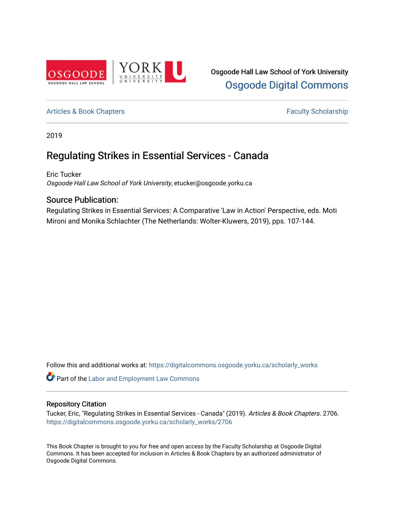

# [Articles & Book Chapters](https://digitalcommons.osgoode.yorku.ca/scholarly_works) **Faculty Scholarship Faculty Scholarship**

2019

# Regulating Strikes in Essential Services - Canada

Eric Tucker Osgoode Hall Law School of York University, etucker@osgoode.yorku.ca

# Source Publication:

Regulating Strikes in Essential Services: A Comparative 'Law in Action' Perspective, eds. Moti Mironi and Monika Schlachter (The Netherlands: Wolter-Kluwers, 2019), pps. 107-144.

Follow this and additional works at: [https://digitalcommons.osgoode.yorku.ca/scholarly\\_works](https://digitalcommons.osgoode.yorku.ca/scholarly_works?utm_source=digitalcommons.osgoode.yorku.ca%2Fscholarly_works%2F2706&utm_medium=PDF&utm_campaign=PDFCoverPages) 

**Part of the [Labor and Employment Law Commons](http://network.bepress.com/hgg/discipline/909?utm_source=digitalcommons.osgoode.yorku.ca%2Fscholarly_works%2F2706&utm_medium=PDF&utm_campaign=PDFCoverPages)** 

# Repository Citation

Tucker, Eric, "Regulating Strikes in Essential Services - Canada" (2019). Articles & Book Chapters. 2706. [https://digitalcommons.osgoode.yorku.ca/scholarly\\_works/2706](https://digitalcommons.osgoode.yorku.ca/scholarly_works/2706?utm_source=digitalcommons.osgoode.yorku.ca%2Fscholarly_works%2F2706&utm_medium=PDF&utm_campaign=PDFCoverPages)

This Book Chapter is brought to you for free and open access by the Faculty Scholarship at Osgoode Digital Commons. It has been accepted for inclusion in Articles & Book Chapters by an authorized administrator of Osgoode Digital Commons.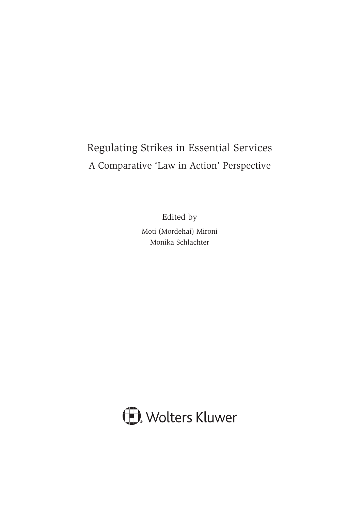# Regulating Strikes in Essential Services A Comparative 'Law in Action' Perspective

Edited by Moti (Mordehai) Mironi Monika Schlachter

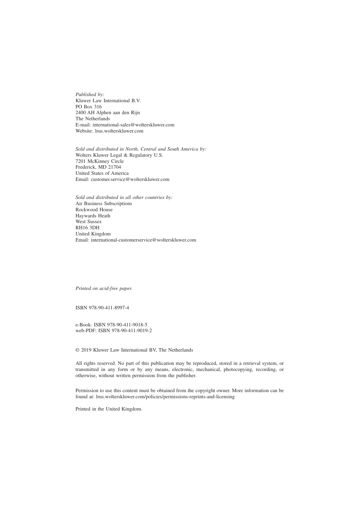*Published by:* Kluwer Law International B.V. PO Box 316 2400 AH Alphen aan den Rijn The Netherlands E-mail: international-sales@wolterskluwer.com Website: lrus.wolterskluwer.com

*Sold and distributed in North, Central and South America by:* Wolters Kluwer Legal & Regulatory U.S. 7201 McKinney Circle Frederick, MD 21704 United States of America Email: customer.service@wolterskluwer.com

*Sold and distributed in all other countries by:* Air Business Subscriptions Rockwood House Haywards Heath West Sussex RH16 3DH United Kingdom Email: international-customerservice@wolterskluwer.com

*Printed on acid-free paper.*

ISBN 978-90-411-8997-4

e-Book: ISBN 978-90-411-9018-5 web-PDF: ISBN 978-90-411-9019-2

© 2019 Kluwer Law International BV, The Netherlands

All rights reserved. No part of this publication may be reproduced, stored in a retrieval system, or transmitted in any form or by any means, electronic, mechanical, photocopying, recording, or otherwise, without written permission from the publisher.

Permission to use this content must be obtained from the copyright owner. More information can be found at: lrus.wolterskluwer.com/policies/permissions-reprints-and-licensing

Printed in the United Kingdom.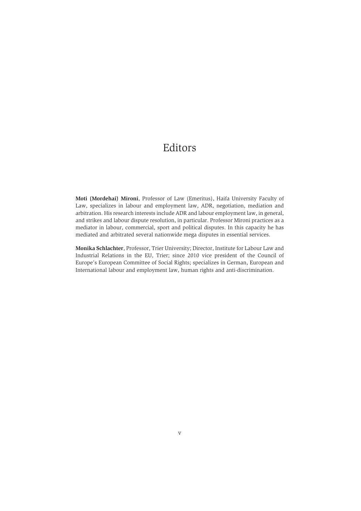# Editors

**Moti (Mordehai) Mironi**, Professor of Law (Emeritus), Haifa University Faculty of Law, specializes in labour and employment law, ADR, negotiation, mediation and arbitration. His research interests include ADR and labour employment law, in general, and strikes and labour dispute resolution, in particular. Professor Mironi practices as a mediator in labour, commercial, sport and political disputes. In this capacity he has mediated and arbitrated several nationwide mega disputes in essential services.

**Monika Schlachter**, Professor, Trier University; Director, Institute for Labour Law and Industrial Relations in the EU, Trier; since 2010 vice president of the Council of Europe's European Committee of Social Rights; specializes in German, European and International labour and employment law, human rights and anti-discrimination.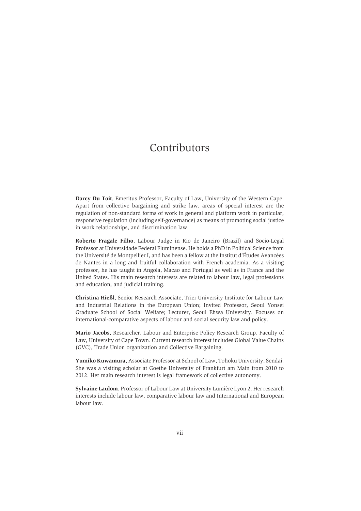# Contributors

**Darcy Du Toit**, Emeritus Professor, Faculty of Law, University of the Western Cape. Apart from collective bargaining and strike law, areas of special interest are the regulation of non-standard forms of work in general and platform work in particular, responsive regulation (including self-governance) as means of promoting social justice in work relationships, and discrimination law.

**Roberto Fragale Filho**, Labour Judge in Rio de Janeiro (Brazil) and Socio-Legal Professor at Universidade Federal Fluminense. He holds a PhD in Political Science from the Université de Montpellier I, and has been a fellow at the Institut d'Études Avancées de Nantes in a long and fruitful collaboration with French academia. As a visiting professor, he has taught in Angola, Macao and Portugal as well as in France and the United States. His main research interests are related to labour law, legal professions and education, and judicial training.

**Christina Hießl**, Senior Research Associate, Trier University Institute for Labour Law and Industrial Relations in the European Union; Invited Professor, Seoul Yonsei Graduate School of Social Welfare; Lecturer, Seoul Ehwa University. Focuses on international-comparative aspects of labour and social security law and policy.

**Mario Jacobs**, Researcher, Labour and Enterprise Policy Research Group, Faculty of Law, University of Cape Town. Current research interest includes Global Value Chains (GVC), Trade Union organization and Collective Bargaining.

**Yumiko Kuwamura**, Associate Professor at School of Law, Tohoku University, Sendai. She was a visiting scholar at Goethe University of Frankfurt am Main from 2010 to 2012. Her main research interest is legal framework of collective autonomy.

**Sylvaine Laulom**, Professor of Labour Law at University Lumière Lyon 2. Her research interests include labour law, comparative labour law and International and European labour law.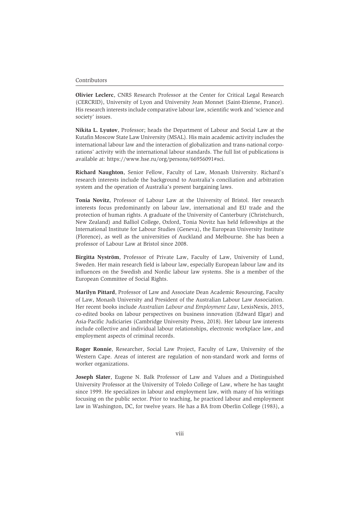#### Contributors

**Olivier Leclerc**, CNRS Research Professor at the Center for Critical Legal Research (CERCRID), University of Lyon and University Jean Monnet (Saint-Etienne, France). His research interests include comparative labour law, scientific work and 'science and society' issues.

**Nikita L. Lyutov**, Professor; heads the Department of Labour and Social Law at the Kutafin Moscow State Law University (MSAL). His main academic activity includes the international labour law and the interaction of globalization and trans-national corporations' activity with the international labour standards. The full list of publications is available at: https://www.hse.ru/org/persons/66956091#sci.

**Richard Naughton**, Senior Fellow, Faculty of Law, Monash University. Richard's research interests include the background to Australia's conciliation and arbitration system and the operation of Australia's present bargaining laws.

**Tonia Novitz**, Professor of Labour Law at the University of Bristol. Her research interests focus predominantly on labour law, international and EU trade and the protection of human rights. A graduate of the University of Canterbury (Christchurch, New Zealand) and Balliol College, Oxford, Tonia Novitz has held fellowships at the International Institute for Labour Studies (Geneva), the European University Institute (Florence), as well as the universities of Auckland and Melbourne. She has been a professor of Labour Law at Bristol since 2008.

**Birgitta Nyström**, Professor of Private Law, Faculty of Law, University of Lund, Sweden. Her main research field is labour law, especially European labour law and its influences on the Swedish and Nordic labour law systems. She is a member of the European Committee of Social Rights.

**Marilyn Pittard**, Professor of Law and Associate Dean Academic Resourcing, Faculty of Law, Monash University and President of the Australian Labour Law Association. Her recent books include *Australian Labour and Employment Law*, LexisNexis, 2015, co-edited books on labour perspectives on business innovation (Edward Elgar) and Asia-Pacific Judiciaries (Cambridge University Press, 2018). Her labour law interests include collective and individual labour relationships, electronic workplace law, and employment aspects of criminal records.

**Roger Ronnie**, Researcher, Social Law Project, Faculty of Law, University of the Western Cape. Areas of interest are regulation of non-standard work and forms of worker organizations.

**Joseph Slater**, Eugene N. Balk Professor of Law and Values and a Distinguished University Professor at the University of Toledo College of Law, where he has taught since 1999. He specializes in labour and employment law, with many of his writings focusing on the public sector. Prior to teaching, he practiced labour and employment law in Washington, DC, for twelve years. He has a BA from Oberlin College (1983), a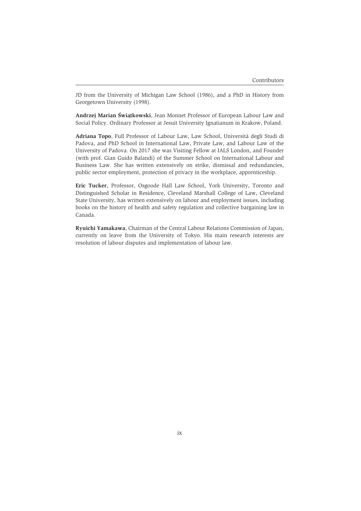JD from the University of Michigan Law School (1986), and a PhD in History from Georgetown University (1998).

Andrzej Marian Świątkowski, Jean Monnet Professor of European Labour Law and Social Policy. Ordinary Professor at Jesuit University Ignatianum in Krakow, Poland.

**Adriana Topo**, Full Professor of Labour Law, Law School, Università degli Studi di Padova, and PhD School in International Law, Private Law, and Labour Law of the University of Padova. On 2017 she was Visiting Fellow at IALS London, and Founder (with prof. Gian Guido Balandi) of the Summer School on International Labour and Business Law. She has written extensively on strike, dismissal and redundancies, public sector employment, protection of privacy in the workplace, apprenticeship.

**Eric Tucker**, Professor, Osgoode Hall Law School, York University, Toronto and Distinguished Scholar in Residence, Cleveland Marshall College of Law, Cleveland State University, has written extensively on labour and employment issues, including books on the history of health and safety regulation and collective bargaining law in Canada.

**Ryuichi Yamakawa**, Chairman of the Central Labour Relations Commission of Japan, currently on leave from the University of Tokyo. His main research interests are resolution of labour disputes and implementation of labour law.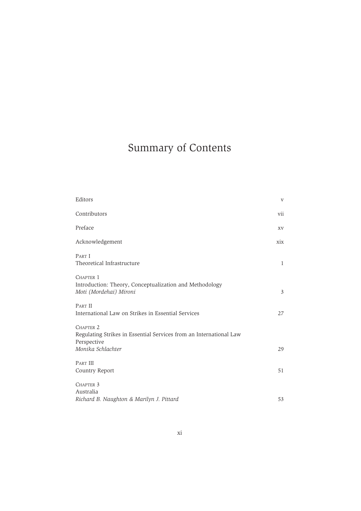# Summary of Contents

| Editors                                                                                                                        | $\mathbf{V}$ |
|--------------------------------------------------------------------------------------------------------------------------------|--------------|
| Contributors                                                                                                                   | vii          |
| Preface                                                                                                                        | XV           |
| Acknowledgement                                                                                                                | xix          |
| PART I<br>Theoretical Infrastructure                                                                                           | 1            |
| CHAPTER 1<br>Introduction: Theory, Conceptualization and Methodology<br>Moti (Mordehai) Mironi                                 | 3            |
| PART II<br>International Law on Strikes in Essential Services                                                                  | 27           |
| CHAPTER <sub>2</sub><br>Regulating Strikes in Essential Services from an International Law<br>Perspective<br>Monika Schlachter | 29           |
| <b>PART III</b><br>Country Report                                                                                              | 51           |
| CHAPTER <sub>3</sub><br>Australia<br>Richard B. Naughton & Marilyn J. Pittard                                                  | 53           |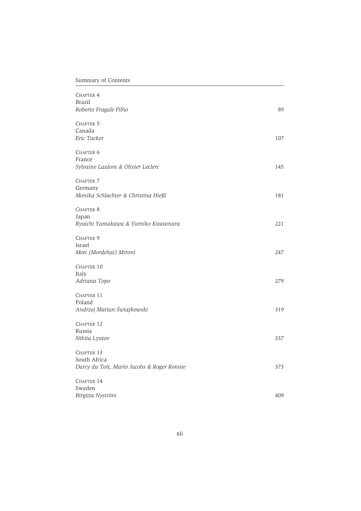# Summary of Contents

| <b>CHAPTER 4</b><br><b>Brazil</b><br>Roberto Fragale Filho               | 89  |
|--------------------------------------------------------------------------|-----|
| CHAPTER 5<br>Canada<br>Eric Tucker                                       | 107 |
| CHAPTER 6<br>France<br>Sylvaine Laulom & Olivier Leclerc                 | 145 |
| <b>CHAPTER 7</b><br>Germany<br>Monika Schlachter & Christina Hießl       | 181 |
| CHAPTER 8<br>Japan<br>Ryuichi Yamakawa & Yumiko Kuwamura                 | 221 |
| CHAPTER 9<br>Israel<br>Moti (Mordehai) Mironi                            | 247 |
| CHAPTER 10<br>Italy<br>Adriana Topo                                      | 279 |
| CHAPTER 11<br>Poland<br>Andrzej Marian Świątkowski                       | 319 |
| CHAPTER 12<br>Russia<br>Nikita Lyutov                                    | 337 |
| CHAPTER 13<br>South Africa<br>Darcy du Toit, Mario Jacobs & Roger Ronnie | 373 |
| CHAPTER 14<br>Sweden<br>Birgitta Nyström                                 | 409 |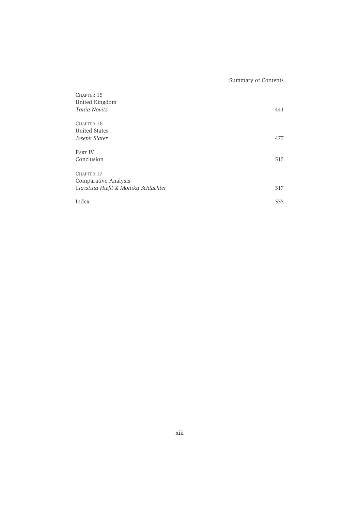| CHAPTER 15<br>United Kingdom<br>Tonia Novitz | 441 |
|----------------------------------------------|-----|
| CHAPTER 16                                   |     |
| <b>United States</b>                         |     |
| Joseph Slater                                | 477 |
|                                              |     |
| <b>PART IV</b>                               |     |
| Conclusion                                   | 515 |
|                                              |     |
| CHAPTER 17                                   |     |
| Comparative Analysis                         |     |
| Christina Hießl & Monika Schlachter          | 517 |
|                                              |     |
| Index                                        | 555 |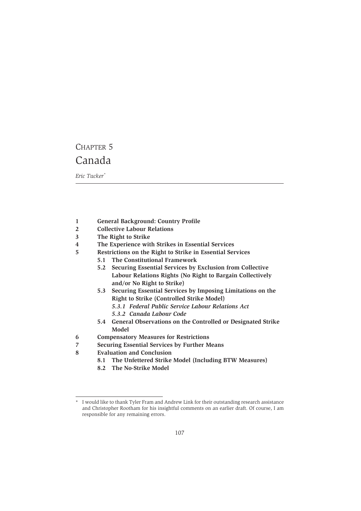# CHAPTER 5 Canada

*Eric Tucker\**

- **1 General Background: Country Profile**
- **2 Collective Labour Relations**
- **3 The Right to Strike**
- **4 The Experience with Strikes in Essential Services**
- **5 Restrictions on the Right to Strike in Essential Services**
	- **5.1 The Constitutional Framework**
	- **5.2 Securing Essential Services by Exclusion from Collective Labour Relations Rights (No Right to Bargain Collectively and/or No Right to Strike)**
	- **5.3 Securing Essential Services by Imposing Limitations on the Right to Strike (Controlled Strike Model)**
		- *5.3.1 Federal Public Service Labour Relations Act*
		- *5.3.2 Canada Labour Code*
	- **5.4 General Observations on the Controlled or Designated Strike Model**
- **6 Compensatory Measures for Restrictions**
- **7 Securing Essential Services by Further Means**
- **8 Evaluation and Conclusion**
	- **8.1 The Unfettered Strike Model (Including BTW Measures)**
	- **8.2 The No-Strike Model**

I would like to thank Tyler Fram and Andrew Link for their outstanding research assistance and Christopher Rootham for his insightful comments on an earlier draft. Of course, I am responsible for any remaining errors.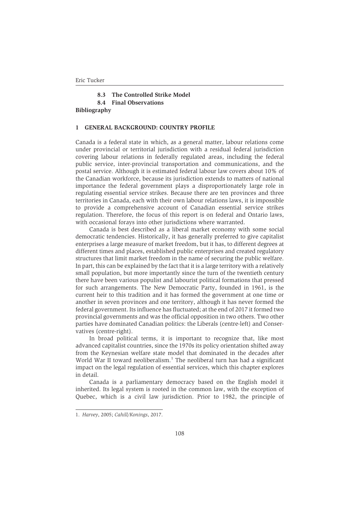**8.3 The Controlled Strike Model 8.4 Final Observations**

**Bibliography**

#### **1 GENERAL BACKGROUND: COUNTRY PROFILE**

Canada is a federal state in which, as a general matter, labour relations come under provincial or territorial jurisdiction with a residual federal jurisdiction covering labour relations in federally regulated areas, including the federal public service, inter-provincial transportation and communications, and the postal service. Although it is estimated federal labour law covers about 10% of the Canadian workforce, because its jurisdiction extends to matters of national importance the federal government plays a disproportionately large role in regulating essential service strikes. Because there are ten provinces and three territories in Canada, each with their own labour relations laws, it is impossible to provide a comprehensive account of Canadian essential service strikes regulation. Therefore, the focus of this report is on federal and Ontario laws, with occasional forays into other jurisdictions where warranted.

Canada is best described as a liberal market economy with some social democratic tendencies. Historically, it has generally preferred to give capitalist enterprises a large measure of market freedom, but it has, to different degrees at different times and places, established public enterprises and created regulatory structures that limit market freedom in the name of securing the public welfare. In part, this can be explained by the fact that it is a large territory with a relatively small population, but more importantly since the turn of the twentieth century there have been various populist and labourist political formations that pressed for such arrangements. The New Democratic Party, founded in 1961, is the current heir to this tradition and it has formed the government at one time or another in seven provinces and one territory, although it has never formed the federal government. Its influence has fluctuated; at the end of 2017 it formed two provincial governments and was the official opposition in two others. Two other parties have dominated Canadian politics: the Liberals (centre-left) and Conservatives (centre-right).

In broad political terms, it is important to recognize that, like most advanced capitalist countries, since the 1970s its policy orientation shifted away from the Keynesian welfare state model that dominated in the decades after World War II toward neoliberalism.<sup>1</sup> The neoliberal turn has had a significant impact on the legal regulation of essential services, which this chapter explores in detail.

Canada is a parliamentary democracy based on the English model it inherited. Its legal system is rooted in the common law, with the exception of Quebec, which is a civil law jurisdiction. Prior to 1982, the principle of

<sup>1.</sup> *Harvey*, 2005; *Cahill/Konings*, 2017.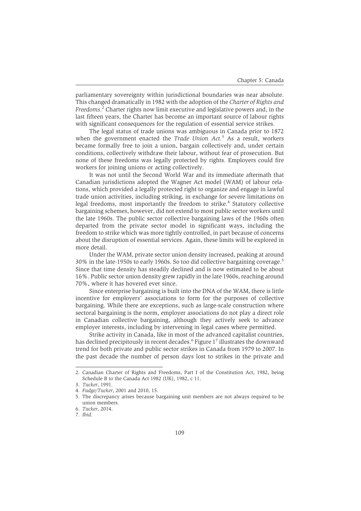parliamentary sovereignty within jurisdictional boundaries was near absolute. This changed dramatically in 1982 with the adoption of the *Charter of Rights and Freedoms*. <sup>2</sup> Charter rights now limit executive and legislative powers and, in the last fifteen years, the Charter has become an important source of labour rights with significant consequences for the regulation of essential service strikes.

The legal status of trade unions was ambiguous in Canada prior to 1872 when the government enacted the *Trade Union Act.*<sup>3</sup> As a result, workers became formally free to join a union, bargain collectively and, under certain conditions, collectively withdraw their labour, without fear of prosecution. But none of these freedoms was legally protected by rights. Employers could fire workers for joining unions or acting collectively.

It was not until the Second World War and its immediate aftermath that Canadian jurisdictions adopted the Wagner Act model (WAM) of labour relations, which provided a legally protected right to organize and engage in lawful trade union activities, including striking, in exchange for severe limitations on legal freedoms, most importantly the freedom to strike.<sup>4</sup> Statutory collective bargaining schemes, however, did not extend to most public sector workers until the late 1960s. The public sector collective bargaining laws of the 1960s often departed from the private sector model in significant ways, including the freedom to strike which was more tightly controlled, in part because of concerns about the disruption of essential services. Again, these limits will be explored in more detail.

Under the WAM, private sector union density increased, peaking at around 30% in the late-1950s to early 1960s. So too did collective bargaining coverage.<sup>5</sup> Since that time density has steadily declined and is now estimated to be about 16%. Public sector union density grew rapidly in the late 1960s, reaching around 70%, where it has hovered ever since.

Since enterprise bargaining is built into the DNA of the WAM, there is little incentive for employers' associations to form for the purposes of collective bargaining. While there are exceptions, such as large-scale construction where sectoral bargaining is the norm, employer associations do not play a direct role in Canadian collective bargaining, although they actively seek to advance employer interests, including by intervening in legal cases where permitted.

Strike activity in Canada, like in most of the advanced capitalist countries, has declined precipitously in recent decades.<sup>6</sup> Figure 1<sup>7</sup> illustrates the downward trend for both private and public sector strikes in Canada from 1979 to 2007. In the past decade the number of person days lost to strikes in the private and

<sup>2.</sup> Canadian Charter of Rights and Freedoms, Part I of the Constitution Act, 1982, being Schedule B to the Canada Act 1982 (UK), 1982, c 11.

<sup>3.</sup> *Tucker*, 1991.

<sup>4.</sup> *Fudge/Tucker*, 2001 and 2010, 15.

<sup>5.</sup> The discrepancy arises because bargaining unit members are not always required to be union members.

<sup>6.</sup> *Tucker*, 2014.

<sup>7.</sup> *Ibid.*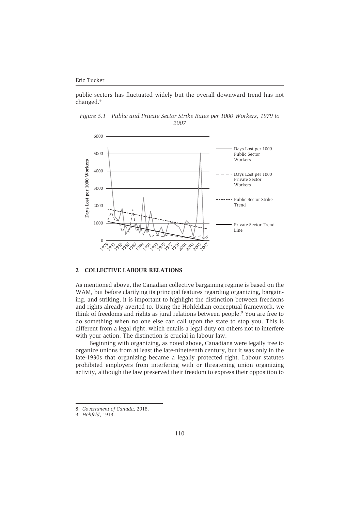public sectors has fluctuated widely but the overall downward trend has not changed.<sup>8</sup>

*Figure 5.1 Public and Private Sector Strike Rates per 1000 Workers, 1979 to 2007*



# **2 COLLECTIVE LABOUR RELATIONS**

As mentioned above, the Canadian collective bargaining regime is based on the WAM, but before clarifying its principal features regarding organizing, bargaining, and striking, it is important to highlight the distinction between freedoms and rights already averted to. Using the Hohfeldian conceptual framework, we think of freedoms and rights as jural relations between people.<sup>9</sup> You are free to do something when no one else can call upon the state to stop you. This is different from a legal right, which entails a legal duty on others not to interfere with your action. The distinction is crucial in labour law.

Beginning with organizing, as noted above, Canadians were legally free to organize unions from at least the late-nineteenth century, but it was only in the late-1930s that organizing became a legally protected right. Labour statutes prohibited employers from interfering with or threatening union organizing activity, although the law preserved their freedom to express their opposition to

<sup>8.</sup> *Government of Canada*, 2018.

<sup>9.</sup> *Hohfeld*, 1919.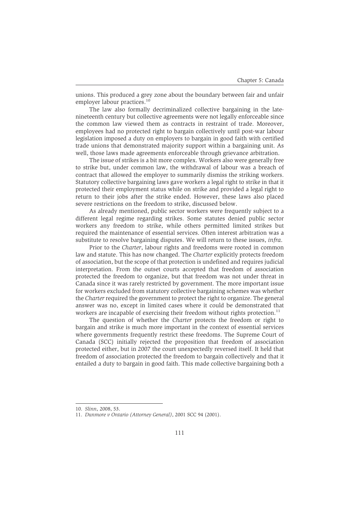unions. This produced a grey zone about the boundary between fair and unfair employer labour practices.<sup>10</sup>

The law also formally decriminalized collective bargaining in the latenineteenth century but collective agreements were not legally enforceable since the common law viewed them as contracts in restraint of trade. Moreover, employees had no protected right to bargain collectively until post-war labour legislation imposed a duty on employers to bargain in good faith with certified trade unions that demonstrated majority support within a bargaining unit. As well, those laws made agreements enforceable through grievance arbitration.

The issue of strikes is a bit more complex. Workers also were generally free to strike but, under common law, the withdrawal of labour was a breach of contract that allowed the employer to summarily dismiss the striking workers. Statutory collective bargaining laws gave workers a legal right to strike in that it protected their employment status while on strike and provided a legal right to return to their jobs after the strike ended. However, these laws also placed severe restrictions on the freedom to strike, discussed below.

As already mentioned, public sector workers were frequently subject to a different legal regime regarding strikes. Some statutes denied public sector workers any freedom to strike, while others permitted limited strikes but required the maintenance of essential services. Often interest arbitration was a substitute to resolve bargaining disputes. We will return to these issues, *infra*.

Prior to the *Charter*, labour rights and freedoms were rooted in common law and statute. This has now changed. The *Charter* explicitly protects freedom of association, but the scope of that protection is undefined and requires judicial interpretation. From the outset courts accepted that freedom of association protected the freedom to organize, but that freedom was not under threat in Canada since it was rarely restricted by government. The more important issue for workers excluded from statutory collective bargaining schemes was whether the *Charter* required the government to protect the right to organize. The general answer was no, except in limited cases where it could be demonstrated that workers are incapable of exercising their freedom without rights protection.<sup>11</sup>

The question of whether the *Charter* protects the freedom or right to bargain and strike is much more important in the context of essential services where governments frequently restrict these freedoms. The Supreme Court of Canada (SCC) initially rejected the proposition that freedom of association protected either, but in 2007 the court unexpectedly reversed itself. It held that freedom of association protected the freedom to bargain collectively and that it entailed a duty to bargain in good faith. This made collective bargaining both a

<sup>10.</sup> *Slinn*, 2008, 53.

<sup>11.</sup> *Dunmore v Ontario (Attorney General)*, 2001 SCC 94 (2001).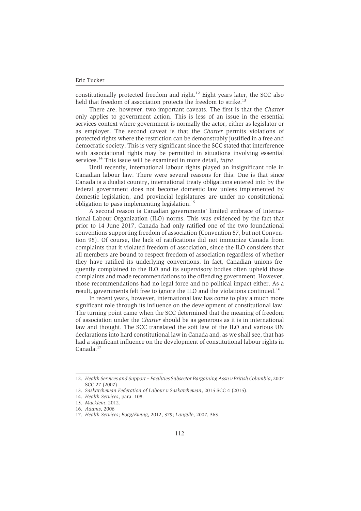constitutionally protected freedom and right.<sup>12</sup> Eight years later, the SCC also held that freedom of association protects the freedom to strike.<sup>13</sup>

There are, however, two important caveats. The first is that the *Charter* only applies to government action. This is less of an issue in the essential services context where government is normally the actor, either as legislator or as employer. The second caveat is that the *Charter* permits violations of protected rights where the restriction can be demonstrably justified in a free and democratic society. This is very significant since the SCC stated that interference with associational rights may be permitted in situations involving essential services.<sup>14</sup> This issue will be examined in more detail, *infra*.

Until recently, international labour rights played an insignificant role in Canadian labour law. There were several reasons for this. One is that since Canada is a dualist country, international treaty obligations entered into by the federal government does not become domestic law unless implemented by domestic legislation, and provincial legislatures are under no constitutional obligation to pass implementing legislation.<sup>15</sup>

A second reason is Canadian governments' limited embrace of International Labour Organization (ILO) norms. This was evidenced by the fact that prior to 14 June 2017, Canada had only ratified one of the two foundational conventions supporting freedom of association (Convention 87, but not Convention 98). Of course, the lack of ratifications did not immunize Canada from complaints that it violated freedom of association, since the ILO considers that all members are bound to respect freedom of association regardless of whether they have ratified its underlying conventions. In fact, Canadian unions frequently complained to the ILO and its supervisory bodies often upheld those complaints and made recommendations to the offending government. However, those recommendations had no legal force and no political impact either. As a result, governments felt free to ignore the ILO and the violations continued.<sup>16</sup>

In recent years, however, international law has come to play a much more significant role through its influence on the development of constitutional law. The turning point came when the SCC determined that the meaning of freedom of association under the *Charter* should be as generous as it is in international law and thought. The SCC translated the soft law of the ILO and various UN declarations into hard constitutional law in Canada and, as we shall see, that has had a significant influence on the development of constitutional labour rights in Canada.<sup>17</sup>

<sup>12.</sup> *Health Services and Support – Facilities Subsector Bargaining Assn v British Columbia*, 2007 SCC 27 (2007).

<sup>13.</sup> *Saskatchewan Federation of Labour v Saskatchewan*, 2015 SCC 4 (2015).

<sup>14.</sup> *Health Services*, para. 108.

<sup>15.</sup> *Macklem*, 2012.

<sup>16.</sup> *Adams*, 2006

<sup>17.</sup> *Health Services*; *Bogg/Ewing*, 2012, 379; *Langille*, 2007, 363.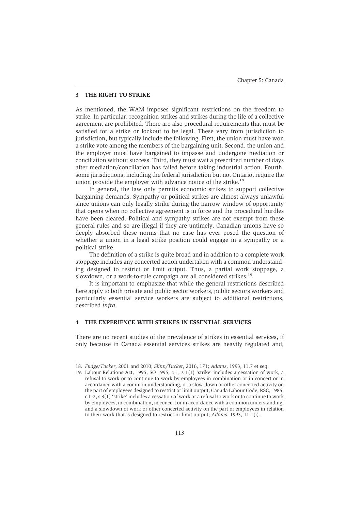## **3 THE RIGHT TO STRIKE**

As mentioned, the WAM imposes significant restrictions on the freedom to strike. In particular, recognition strikes and strikes during the life of a collective agreement are prohibited. There are also procedural requirements that must be satisfied for a strike or lockout to be legal. These vary from jurisdiction to jurisdiction, but typically include the following. First, the union must have won a strike vote among the members of the bargaining unit. Second, the union and the employer must have bargained to impasse and undergone mediation or conciliation without success. Third, they must wait a prescribed number of days after mediation/conciliation has failed before taking industrial action. Fourth, some jurisdictions, including the federal jurisdiction but not Ontario, require the union provide the employer with advance notice of the strike.<sup>18</sup>

In general, the law only permits economic strikes to support collective bargaining demands. Sympathy or political strikes are almost always unlawful since unions can only legally strike during the narrow window of opportunity that opens when no collective agreement is in force and the procedural hurdles have been cleared. Political and sympathy strikes are not exempt from these general rules and so are illegal if they are untimely. Canadian unions have so deeply absorbed these norms that no case has ever posed the question of whether a union in a legal strike position could engage in a sympathy or a political strike.

The definition of a strike is quite broad and in addition to a complete work stoppage includes any concerted action undertaken with a common understanding designed to restrict or limit output. Thus, a partial work stoppage, a slowdown, or a work-to-rule campaign are all considered strikes.<sup>19</sup>

It is important to emphasize that while the general restrictions described here apply to both private and public sector workers, public sectors workers and particularly essential service workers are subject to additional restrictions, described *infra*.

# **4 THE EXPERIENCE WITH STRIKES IN ESSENTIAL SERVICES**

There are no recent studies of the prevalence of strikes in essential services, if only because in Canada essential services strikes are heavily regulated and,

<sup>18.</sup> *Fudge/Tucker*, 2001 and 2010; *Slinn/Tucker*, 2016, 171; *Adams*, 1993, 11.7 et seq.

<sup>19.</sup> Labour Relations Act, 1995, SO 1995, c 1, s 1(1) 'strike' includes a cessation of work, a refusal to work or to continue to work by employees in combination or in concert or in accordance with a common understanding, or a slow-down or other concerted activity on the part of employees designed to restrict or limit output; Canada Labour Code, RSC, 1985, c L-2, s 3(1) 'strike' includes a cessation of work or a refusal to work or to continue to work by employees, in combination, in concert or in accordance with a common understanding, and a slowdown of work or other concerted activity on the part of employees in relation to their work that is designed to restrict or limit output; *Adams*, 1993, 11.1(i).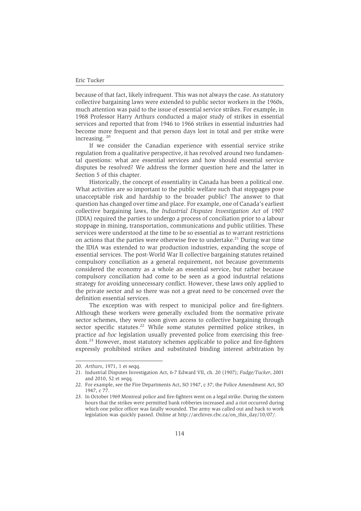because of that fact, likely infrequent. This was not always the case. As statutory collective bargaining laws were extended to public sector workers in the 1960s, much attention was paid to the issue of essential service strikes. For example, in 1968 Professor Harry Arthurs conducted a major study of strikes in essential services and reported that from 1946 to 1966 strikes in essential industries had become more frequent and that person days lost in total and per strike were increasing. <sup>20</sup>

If we consider the Canadian experience with essential service strike regulation from a qualitative perspective, it has revolved around two fundamental questions: what are essential services and how should essential service disputes be resolved? We address the former question here and the latter in Section 5 of this chapter.

Historically, the concept of essentiality in Canada has been a political one. What activities are so important to the public welfare such that stoppages pose unacceptable risk and hardship to the broader public? The answer to that question has changed over time and place. For example, one of Canada's earliest collective bargaining laws, the *Industrial Disputes Investigation Act* of 1907 (IDIA) required the parties to undergo a process of conciliation prior to a labour stoppage in mining, transportation, communications and public utilities. These services were understood at the time to be so essential as to warrant restrictions on actions that the parties were otherwise free to undertake.<sup>21</sup> During war time the IDIA was extended to war production industries, expanding the scope of essential services. The post-World War II collective bargaining statutes retained compulsory conciliation as a general requirement, not because governments considered the economy as a whole an essential service, but rather because compulsory conciliation had come to be seen as a good industrial relations strategy for avoiding unnecessary conflict. However, these laws only applied to the private sector and so there was not a great need to be concerned over the definition essential services.

The exception was with respect to municipal police and fire-fighters. Although these workers were generally excluded from the normative private sector schemes, they were soon given access to collective bargaining through sector specific statutes.<sup>22</sup> While some statutes permitted police strikes, in practice *ad hoc* legislation usually prevented police from exercising this freedom.23 However, most statutory schemes applicable to police and fire-fighters expressly prohibited strikes and substituted binding interest arbitration by

<sup>20.</sup> *Arthurs*, 1971, 1 et seqq.

<sup>21.</sup> Industrial Disputes Investigation Act, 6-7 Edward VII, ch. 20 (1907); *Fudge/Tucker*, 2001 and 2010, 52 et seqq.

<sup>22.</sup> For example, see the Fire Departments Act, SO 1947, c 37; the Police Amendment Act, SO 1947, c 77.

<sup>23.</sup> In October 1969 Montreal police and fire-fighters went on a legal strike. During the sixteen hours that the strikes were permitted bank robberies increased and a riot occurred during which one police officer was fatally wounded. The army was called out and back to work legislation was quickly passed. Online at http://archives.cbc.ca/on\_this\_day/10/07/.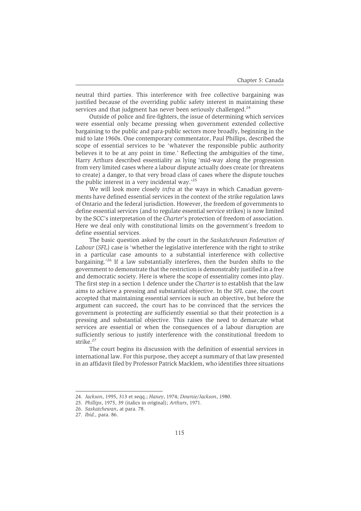neutral third parties. This interference with free collective bargaining was justified because of the overriding public safety interest in maintaining these services and that judgment has never been seriously challenged.<sup>24</sup>

Outside of police and fire-fighters, the issue of determining which services were essential only became pressing when government extended collective bargaining to the public and para-public sectors more broadly, beginning in the mid to late 1960s. One contemporary commentator, Paul Phillips, described the scope of essential services to be 'whatever the responsible public authority believes it to be at any point in time.' Reflecting the ambiguities of the time, Harry Arthurs described essentiality as lying 'mid-way along the progression from very limited cases where a labour dispute actually does create (or threatens to create) a danger, to that very broad class of cases where the dispute touches the public interest in a very incidental wav.'<sup>25</sup>

We will look more closely *infra* at the ways in which Canadian governments have defined essential services in the context of the strike regulation laws of Ontario and the federal jurisdiction. However, the freedom of governments to define essential services (and to regulate essential service strikes) is now limited by the SCC's interpretation of the *Charter*'s protection of freedom of association. Here we deal only with constitutional limits on the government's freedom to define essential services.

The basic question asked by the court in the *Saskatchewan Federation of Labour* (*SFL*) case is 'whether the legislative interference with the right to strike in a particular case amounts to a substantial interference with collective bargaining.'<sup>26</sup> If a law substantially interferes, then the burden shifts to the government to demonstrate that the restriction is demonstrably justified in a free and democratic society. Here is where the scope of essentiality comes into play. The first step in a section 1 defence under the *Charter* is to establish that the law aims to achieve a pressing and substantial objective. In the *SFL* case, the court accepted that maintaining essential services is such an objective, but before the argument can succeed, the court has to be convinced that the services the government is protecting are sufficiently essential so that their protection is a pressing and substantial objective. This raises the need to demarcate what services are essential or when the consequences of a labour disruption are sufficiently serious to justify interference with the constitutional freedom to strike.<sup>27</sup>

The court begins its discussion with the definition of essential services in international law. For this purpose, they accept a summary of that law presented in an affidavit filed by Professor Patrick Macklem, who identifies three situations

<sup>24.</sup> *Jackson*, 1995, 313 et seqq.; *Haney*, 1974; *Downie/Jackson*, 1980.

<sup>25.</sup> *Phillips*, 1975, 39 (italics in original); *Arthurs*, 1971.

<sup>26.</sup> *Saskatchewan*, at para. 78.

<sup>27.</sup> *Ibid.,* para. 86.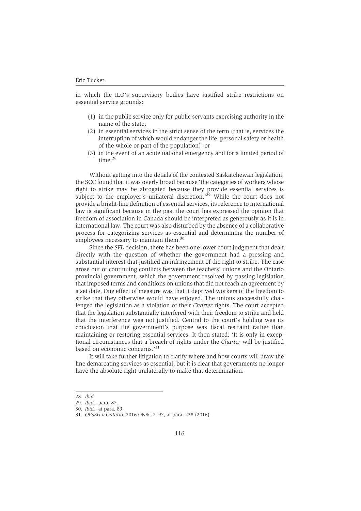in which the ILO's supervisory bodies have justified strike restrictions on essential service grounds:

- (1) in the public service only for public servants exercising authority in the name of the state;
- (2) in essential services in the strict sense of the term (that is, services the interruption of which would endanger the life, personal safety or health of the whole or part of the population); or
- (3) in the event of an acute national emergency and for a limited period of time.<sup>28</sup>

Without getting into the details of the contested Saskatchewan legislation, the SCC found that it was overly broad because 'the categories of workers whose right to strike may be abrogated because they provide essential services is subject to the employer's unilateral discretion.<sup>29</sup> While the court does not provide a bright-line definition of essential services, its reference to international law is significant because in the past the court has expressed the opinion that freedom of association in Canada should be interpreted as generously as it is in international law. The court was also disturbed by the absence of a collaborative process for categorizing services as essential and determining the number of employees necessary to maintain them.<sup>30</sup>

Since the *SFL* decision, there has been one lower court judgment that dealt directly with the question of whether the government had a pressing and substantial interest that justified an infringement of the right to strike. The case arose out of continuing conflicts between the teachers' unions and the Ontario provincial government, which the government resolved by passing legislation that imposed terms and conditions on unions that did not reach an agreement by a set date. One effect of measure was that it deprived workers of the freedom to strike that they otherwise would have enjoyed. The unions successfully challenged the legislation as a violation of their *Charter* rights. The court accepted that the legislation substantially interfered with their freedom to strike and held that the interference was not justified. Central to the court's holding was its conclusion that the government's purpose was fiscal restraint rather than maintaining or restoring essential services. It then stated: 'It is only in exceptional circumstances that a breach of rights under the *Charter* will be justified based on economic concerns.'31

It will take further litigation to clarify where and how courts will draw the line demarcating services as essential, but it is clear that governments no longer have the absolute right unilaterally to make that determination.

<sup>28.</sup> *Ibid.*

<sup>29.</sup> *Ibid.,* para. 87.

<sup>30.</sup> *Ibid.,* at para. 89.

<sup>31.</sup> *OPSEU v Ontario*, 2016 ONSC 2197, at para. 238 (2016).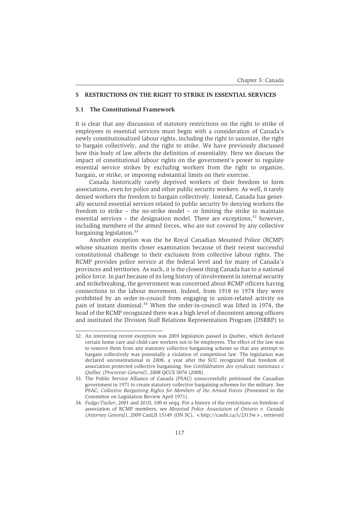# **5 RESTRICTIONS ON THE RIGHT TO STRIKE IN ESSENTIAL SERVICES**

# **5.1 The Constitutional Framework**

It is clear that any discussion of statutory restrictions on the right to strike of employees in essential services must begin with a consideration of Canada's newly constitutionalized labour rights, including the right to unionize, the right to bargain collectively, and the right to strike. We have previously discussed how this body of law affects the definition of essentiality. Here we discuss the impact of constitutional labour rights on the government's power to regulate essential service strikes by excluding workers from the right to organize, bargain, or strike, or imposing substantial limits on their exercise.

Canada historically rarely deprived workers of their freedom to form associations, even for police and other public security workers. As well, it rarely denied workers the freedom to bargain collectively. Instead, Canada has generally secured essential services related to public security by denying workers the freedom to strike – the no-strike model – or limiting the strike to maintain essential services – the designation model. There are exceptions, $32$  however, including members of the armed forces, who are not covered by any collective bargaining legislation.<sup>33</sup>

Another exception was the he Royal Canadian Mounted Police (RCMP) whose situation merits closer examination because of their recent successful constitutional challenge to their exclusion from collective labour rights. The RCMP provides police service at the federal level and for many of Canada's provinces and territories. As such, it is the closest thing Canada has to a national police force. In part because of its long history of involvement in internal security and strikebreaking, the government was concerned about RCMP officers having connections to the labour movement. Indeed, from 1918 to 1974 they were prohibited by an order-in-council from engaging in union-related activity on pain of instant dismissal.<sup>34</sup> When the order-in-council was lifted in 1974, the head of the RCMP recognized there was a high level of discontent among officers and instituted the Division Staff Relations Representation Program (DSRRP) to

<sup>32.</sup> An interesting recent exception was 2003 legislation passed in Quebec, which declared certain home care and child-care workers not to be employees. The effect of the law was to remove them from any statutory collective bargaining scheme so that any attempt to bargain collectively was potentially a violation of competition law. The legislation was declared unconstitutional in 2008, a year after the SCC recognized that freedom of association protected collective bargaining. See *Confédération des syndicats nationaux c Québec (Procureur General)*, 2008 QCCS 5076 (2008).

<sup>33.</sup> The Public Service Alliance of Canada (PSAC) unsuccessfully petitioned the Canadian government in 1971 to create statutory collective bargaining schemes for the military. See PSAC, *Collective Bargaining Rights for Members of the Armed Forces* (Presented to the Committee on Legislation Review April 1971).

<sup>34.</sup> *Fudge/Tucker*, 2001 and 2010, 100 et seqq. For a history of the restrictions on freedom of association of RCMP members, see *Mounted Police Association of Ontario v. Canada (Attorney General)*, 2009 CanLII 15149 (ON SC), <http://canlii.ca/t/2315w >, retrieved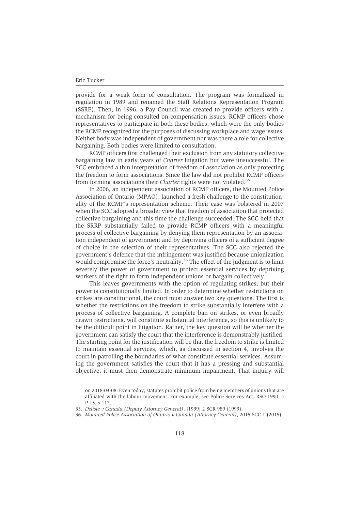provide for a weak form of consultation. The program was formalized in regulation in 1989 and renamed the Staff Relations Representation Program (SSRP). Then, in 1996, a Pay Council was created to provide officers with a mechanism for being consulted on compensation issues. RCMP officers chose representatives to participate in both these bodies, which were the only bodies the RCMP recognized for the purposes of discussing workplace and wage issues. Neither body was independent of government nor was there a role for collective bargaining. Both bodies were limited to consultation.

RCMP officers first challenged their exclusion from any statutory collective bargaining law in early years of *Charter* litigation but were unsuccessful. The SCC embraced a thin interpretation of freedom of association as only protecting the freedom to form associations. Since the law did not prohibit RCMP officers from forming associations their *Charter* rights were not violated.<sup>35</sup>

In 2006, an independent association of RCMP officers, the Mounted Police Association of Ontario (MPAO), launched a fresh challenge to the constitutionality of the RCMP's representation scheme. Their case was bolstered in 2007 when the SCC adopted a broader view that freedom of association that protected collective bargaining and this time the challenge succeeded. The SCC held that the SRRP substantially failed to provide RCMP officers with a meaningful process of collective bargaining by denying them representation by an association independent of government and by depriving officers of a sufficient degree of choice in the selection of their representatives. The SCC also rejected the government's defence that the infringement was justified because unionization would compromise the force's neutrality.<sup>36</sup> The effect of the judgment is to limit severely the power of government to protect essential services by depriving workers of the right to form independent unions or bargain collectively.

This leaves governments with the option of regulating strikes, but their power is constitutionally limited. In order to determine whether restrictions on strikes are constitutional, the court must answer two key questions. The first is whether the restrictions on the freedom to strike substantially interfere with a process of collective bargaining. A complete ban on strikes, or even broadly drawn restrictions, will constitute substantial interference, so this is unlikely to be the difficult point in litigation. Rather, the key question will be whether the government can satisfy the court that the interference is demonstrably justified. The starting point for the justification will be that the freedom to strike is limited to maintain essential services, which, as discussed in section 4, involves the court in patrolling the boundaries of what constitute essential services. Assuming the government satisfies the court that it has a pressing and substantial objective, it must then demonstrate minimum impairment. That inquiry will

on 2018-03-08. Even today, statutes prohibit police from being members of unions that are affiliated with the labour movement. For example, see Police Services Act, RSO 1990, c P-15, s 117.

<sup>35.</sup> *Delisle v Canada (Deputy Attorney General)*, [1999] 2 SCR 989 (1999).

<sup>36.</sup> *Mounted Police Association of Ontario v Canada (Attorney General)*, 2015 SCC 1 (2015).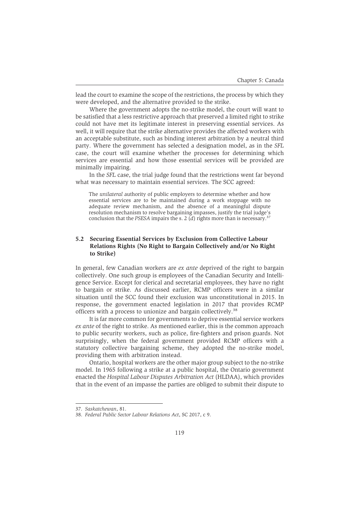lead the court to examine the scope of the restrictions, the process by which they were developed, and the alternative provided to the strike.

Where the government adopts the no-strike model, the court will want to be satisfied that a less restrictive approach that preserved a limited right to strike could not have met its legitimate interest in preserving essential services. As well, it will require that the strike alternative provides the affected workers with an acceptable substitute, such as binding interest arbitration by a neutral third party. Where the government has selected a designation model, as in the *SFL* case, the court will examine whether the processes for determining which services are essential and how those essential services will be provided are minimally impairing.

In the *SFL* case, the trial judge found that the restrictions went far beyond what was necessary to maintain essential services. The SCC agreed:

The *unilateral* authority of public employers to determine whether and how essential services are to be maintained during a work stoppage with no adequate review mechanism, and the absence of a meaningful dispute resolution mechanism to resolve bargaining impasses, justify the trial judge's conclusion that the *PSESA* impairs the s. 2 (*d*) rights more than is necessary.<sup>3</sup>

# **5.2 Securing Essential Services by Exclusion from Collective Labour Relations Rights (No Right to Bargain Collectively and/or No Right to Strike)**

In general, few Canadian workers are *ex ante* deprived of the right to bargain collectively. One such group is employees of the Canadian Security and Intelligence Service. Except for clerical and secretarial employees, they have no right to bargain or strike. As discussed earlier, RCMP officers were in a similar situation until the SCC found their exclusion was unconstitutional in 2015. In response, the government enacted legislation in 2017 that provides RCMP officers with a process to unionize and bargain collectively.38

It is far more common for governments to deprive essential service workers *ex ante* of the right to strike. As mentioned earlier, this is the common approach to public security workers, such as police, fire-fighters and prison guards. Not surprisingly, when the federal government provided RCMP officers with a statutory collective bargaining scheme, they adopted the no-strike model, providing them with arbitration instead.

Ontario, hospital workers are the other major group subject to the no-strike model. In 1965 following a strike at a public hospital, the Ontario government enacted the *Hospital Labour Disputes Arbitration Act* (HLDAA), which provides that in the event of an impasse the parties are obliged to submit their dispute to

<sup>37.</sup> *Saskatchewan*, 81.

<sup>38.</sup> *Federal Public Sector Labour Relations Act*, SC 2017, c 9.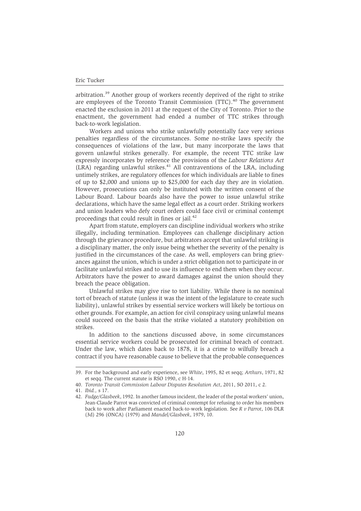arbitration.<sup>39</sup> Another group of workers recently deprived of the right to strike are employees of the Toronto Transit Commission (TTC).<sup>40</sup> The government enacted the exclusion in 2011 at the request of the City of Toronto. Prior to the enactment, the government had ended a number of TTC strikes through back-to-work legislation.

Workers and unions who strike unlawfully potentially face very serious penalties regardless of the circumstances. Some no-strike laws specify the consequences of violations of the law, but many incorporate the laws that govern unlawful strikes generally. For example, the recent TTC strike law expressly incorporates by reference the provisions of the *Labour Relations Act* (LRA) regarding unlawful strikes.<sup>41</sup> All contraventions of the LRA, including untimely strikes, are regulatory offences for which individuals are liable to fines of up to \$2,000 and unions up to \$25,000 for each day they are in violation. However, prosecutions can only be instituted with the written consent of the Labour Board. Labour boards also have the power to issue unlawful strike declarations, which have the same legal effect as a court order. Striking workers and union leaders who defy court orders could face civil or criminal contempt proceedings that could result in fines or jail.<sup>42</sup>

Apart from statute, employers can discipline individual workers who strike illegally, including termination. Employees can challenge disciplinary action through the grievance procedure, but arbitrators accept that unlawful striking is a disciplinary matter, the only issue being whether the severity of the penalty is justified in the circumstances of the case. As well, employers can bring grievances against the union, which is under a strict obligation not to participate in or facilitate unlawful strikes and to use its influence to end them when they occur. Arbitrators have the power to award damages against the union should they breach the peace obligation.

Unlawful strikes may give rise to tort liability. While there is no nominal tort of breach of statute (unless it was the intent of the legislature to create such liability), unlawful strikes by essential service workers will likely be tortious on other grounds. For example, an action for civil conspiracy using unlawful means could succeed on the basis that the strike violated a statutory prohibition on strikes.

In addition to the sanctions discussed above, in some circumstances essential service workers could be prosecuted for criminal breach of contract. Under the law, which dates back to 1878, it is a crime to wilfully breach a contract if you have reasonable cause to believe that the probable consequences

<sup>39.</sup> For the background and early experience, see *White*, 1995, 82 et seqq; *Arthurs*, 1971, 82 et seqq. The current statute is RSO 1990, c H-14.

<sup>40.</sup> *Toronto Transit Commission Labour Disputes Resolution Act*, 2011, SO 2011, c 2.

<sup>41.</sup> *Ibid.,* s 17.

<sup>42.</sup> *Fudge/Glasbeek*, 1992. In another famous incident, the leader of the postal workers' union, Jean-Claude Parrot was convicted of criminal contempt for refusing to order his members back to work after Parliament enacted back-to-work legislation. See *R v Parrot*, 106 DLR (3d) 296 (ONCA) (1979) and *Mandel/Glasbeek*, 1979, 10.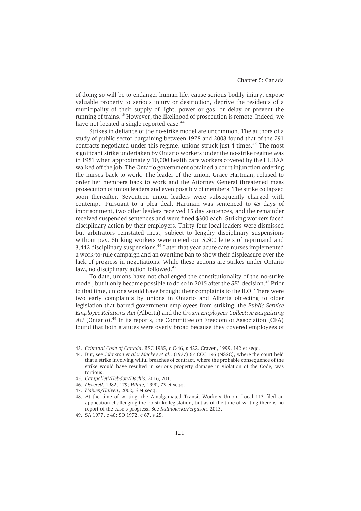of doing so will be to endanger human life, cause serious bodily injury, expose valuable property to serious injury or destruction, deprive the residents of a municipality of their supply of light, power or gas, or delay or prevent the running of trains.43 However, the likelihood of prosecution is remote. Indeed, we have not located a single reported case.<sup>44</sup>

Strikes in defiance of the no-strike model are uncommon. The authors of a study of public sector bargaining between 1978 and 2008 found that of the 791 contracts negotiated under this regime, unions struck just 4 times.<sup>45</sup> The most significant strike undertaken by Ontario workers under the no-strike regime was in 1981 when approximately 10,000 health care workers covered by the HLDAA walked off the job. The Ontario government obtained a court injunction ordering the nurses back to work. The leader of the union, Grace Hartman, refused to order her members back to work and the Attorney General threatened mass prosecution of union leaders and even possibly of members. The strike collapsed soon thereafter. Seventeen union leaders were subsequently charged with contempt. Pursuant to a plea deal, Hartman was sentenced to 45 days of imprisonment, two other leaders received 15 day sentences, and the remainder received suspended sentences and were fined \$300 each. Striking workers faced disciplinary action by their employers. Thirty-four local leaders were dismissed but arbitrators reinstated most, subject to lengthy disciplinary suspensions without pay. Striking workers were meted out 5,500 letters of reprimand and 3,442 disciplinary suspensions.<sup>46</sup> Later that year acute care nurses implemented a work-to-rule campaign and an overtime ban to show their displeasure over the lack of progress in negotiations. While these actions are strikes under Ontario law, no disciplinary action followed.<sup>47</sup>

To date, unions have not challenged the constitutionality of the no-strike model, but it only became possible to do so in 2015 after the *SFL* decision.<sup>48</sup> Prior to that time, unions would have brought their complaints to the ILO. There were two early complaints by unions in Ontario and Alberta objecting to older legislation that barred government employees from striking, the *Public Service Employee Relations Act* (Alberta) and the *Crown Employees Collective Bargaining* Act (Ontario).<sup>49</sup> In its reports, the Committee on Freedom of Association (CFA) found that both statutes were overly broad because they covered employees of

<sup>43.</sup> *Criminal Code of Canada*, RSC 1985, c C-46, s 422. Craven, 1999, 142 et seqq.

<sup>44.</sup> But, see *Johnston et al v Mackey et al.,* (1937) 67 CCC 196 (NSSC), where the court held that a strike involving wilful breaches of contract, where the probable consequence of the strike would have resulted in serious property damage in violation of the Code, was tortious.

<sup>45.</sup> *Campolieti/Hebdon/Dachis*, 2016, 201.

<sup>46.</sup> *Deverell*, 1982, 179; *White*, 1990, 73 et seqq.

<sup>47.</sup> *Haiven/Haiven*, 2002, 5 et seqq.

<sup>48.</sup> At the time of writing, the Amalgamated Transit Workers Union, Local 113 filed an application challenging the no-strike legislation, but as of the time of writing there is no report of the case's progress. See *Kalinowski/Ferguson*, 2015.

<sup>49.</sup> SA 1977, c 40; SO 1972, c 67, s 25.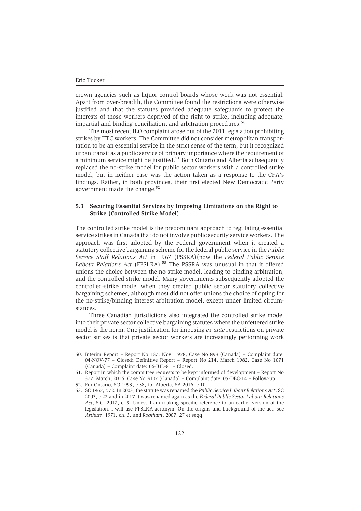crown agencies such as liquor control boards whose work was not essential. Apart from over-breadth, the Committee found the restrictions were otherwise justified and that the statutes provided adequate safeguards to protect the interests of those workers deprived of the right to strike, including adequate, impartial and binding conciliation, and arbitration procedures.<sup>50</sup>

The most recent ILO complaint arose out of the 2011 legislation prohibiting strikes by TTC workers. The Committee did not consider metropolitan transportation to be an essential service in the strict sense of the term, but it recognized urban transit as a public service of primary importance where the requirement of a minimum service might be justified.<sup>51</sup> Both Ontario and Alberta subsequently replaced the no-strike model for public sector workers with a controlled strike model, but in neither case was the action taken as a response to the CFA's findings. Rather, in both provinces, their first elected New Democratic Party government made the change.<sup>52</sup>

# **5.3 Securing Essential Services by Imposing Limitations on the Right to Strike (Controlled Strike Model)**

The controlled strike model is the predominant approach to regulating essential service strikes in Canada that do not involve public security service workers. The approach was first adopted by the Federal government when it created a statutory collective bargaining scheme for the federal public service in the *Public Service Staff Relations Act* in 1967 (PSSRA)(now the *Federal Public Service* Labour Relations Act (FPSLRA).<sup>53</sup> The PSSRA was unusual in that it offered unions the choice between the no-strike model, leading to binding arbitration, and the controlled strike model. Many governments subsequently adopted the controlled-strike model when they created public sector statutory collective bargaining schemes, although most did not offer unions the choice of opting for the no-strike/binding interest arbitration model, except under limited circumstances.

Three Canadian jurisdictions also integrated the controlled strike model into their private sector collective bargaining statutes where the unfettered strike model is the norm. One justification for imposing *ex ante* restrictions on private sector strikes is that private sector workers are increasingly performing work

<sup>50.</sup> Interim Report – Report No 187, Nov. 1978, Case No 893 (Canada) – Complaint date: 04-NOV-77 – Closed; Definitive Report – Report No 214, March 1982, Case No 1071 (Canada) – Complaint date: 06-JUL-81 – Closed.

<sup>51.</sup> Report in which the committee requests to be kept informed of development – Report No 377, March, 2016, Case No 3107 (Canada) – Complaint date: 05-DEC-14 – Follow-up.

<sup>52.</sup> For Ontario, SO 1993, c 38, for Alberta, SA 2016, c 10.

<sup>53.</sup> SC 1967, c 72. In 2003, the statute was renamed the *Public Service Labour Relations Act*, SC 2003, c 22 and in 2017 it was renamed again as the *Federal Public Sector Labour Relations Act*, S.C. 2017, c. 9. Unless I am making specific reference to an earlier version of the legislation, I will use FPSLRA acronym. On the origins and background of the act, see *Arthurs*, 1971, ch. 3, and *Rootham*, 2007, 27 et seqq.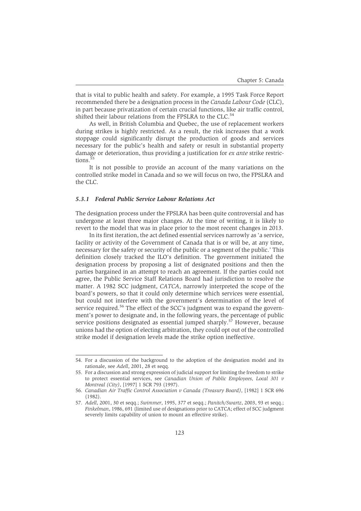that is vital to public health and safety. For example, a 1995 Task Force Report recommended there be a designation process in the *Canada Labour Code* (CLC), in part because privatization of certain crucial functions, like air traffic control, shifted their labour relations from the FPSLRA to the CLC.<sup>54</sup>

As well, in British Columbia and Quebec, the use of replacement workers during strikes is highly restricted. As a result, the risk increases that a work stoppage could significantly disrupt the production of goods and services necessary for the public's health and safety or result in substantial property damage or deterioration, thus providing a justification for *ex ante* strike restrictions.<sup>5</sup>

It is not possible to provide an account of the many variations on the controlled strike model in Canada and so we will focus on two, the FPSLRA and the CLC.

#### *5.3.1 Federal Public Service Labour Relations Act*

The designation process under the FPSLRA has been quite controversial and has undergone at least three major changes. At the time of writing, it is likely to revert to the model that was in place prior to the most recent changes in 2013.

In its first iteration, the act defined essential services narrowly as 'a service, facility or activity of the Government of Canada that is or will be, at any time, necessary for the safety or security of the public or a segment of the public.' This definition closely tracked the ILO's definition. The government initiated the designation process by proposing a list of designated positions and then the parties bargained in an attempt to reach an agreement. If the parties could not agree, the Public Service Staff Relations Board had jurisdiction to resolve the matter. A 1982 SCC judgment, *CATCA*, narrowly interpreted the scope of the board's powers, so that it could only determine which services were essential, but could not interfere with the government's determination of the level of service required.<sup>56</sup> The effect of the SCC's judgment was to expand the government's power to designate and, in the following years, the percentage of public service positions designated as essential jumped sharply.<sup>57</sup> However, because unions had the option of electing arbitration, they could opt out of the controlled strike model if designation levels made the strike option ineffective.

<sup>54.</sup> For a discussion of the background to the adoption of the designation model and its rationale, see *Adell*, 2001, 28 et seqq.

<sup>55.</sup> For a discussion and strong expression of judicial support for limiting the freedom to strike to protect essential services, see *Canadian Union of Public Employees, Local 301 v Montreal (City)*, [1997] 1 SCR 793 (1997).

<sup>56.</sup> *Canadian Air Traffic Control Association v Canada (Treasury Board)*, [1982] 1 SCR 696 (1982).

<sup>57.</sup> *Adell*, 2001, 30 et seqq.; *Swimmer*, 1995, 377 et seqq.; *Panitch/Swartz*, 2003, 93 et seqq.; *Finkelman*, 1986, 691 (limited use of designations prior to CATCA; effect of SCC judgment severely limits capability of union to mount an effective strike).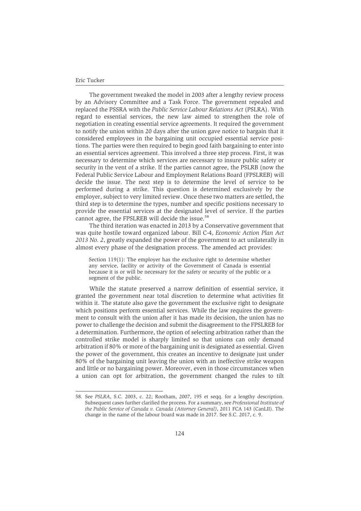The government tweaked the model in 2003 after a lengthy review process by an Advisory Committee and a Task Force. The government repealed and replaced the PSSRA with the *Public Service Labour Relations Act* (PSLRA). With regard to essential services, the new law aimed to strengthen the role of negotiation in creating essential service agreements. It required the government to notify the union within 20 days after the union gave notice to bargain that it considered employees in the bargaining unit occupied essential service positions. The parties were then required to begin good faith bargaining to enter into an essential services agreement. This involved a three step process. First, it was necessary to determine which services are necessary to insure public safety or security in the vent of a strike. If the parties cannot agree, the PSLRB (now the Federal Public Service Labour and Employment Relations Board (FPSLREB) will decide the issue. The next step is to determine the level of service to be performed during a strike. This question is determined exclusively by the employer, subject to very limited review. Once these two matters are settled, the third step is to determine the types, number and specific positions necessary to provide the essential services at the designated level of service. If the parties cannot agree, the FPSLREB will decide the issue.<sup>58</sup>

The third iteration was enacted in 2013 by a Conservative government that was quite hostile toward organized labour. Bill C-4, *Economic Action Plan Act 2013 No. 2*, greatly expanded the power of the government to act unilaterally in almost every phase of the designation process. The amended act provides:

Section 119(1): The employer has the exclusive right to determine whether any service, facility or activity of the Government of Canada is essential because it is or will be necessary for the safety or security of the public or a segment of the public.

While the statute preserved a narrow definition of essential service, it granted the government near total discretion to determine what activities fit within it. The statute also gave the government the exclusive right to designate which positions perform essential services. While the law requires the government to consult with the union after it has made its decision, the union has no power to challenge the decision and submit the disagreement to the FPSLREB for a determination. Furthermore, the option of selecting arbitration rather than the controlled strike model is sharply limited so that unions can only demand arbitration if 80% or more of the bargaining unit is designated as essential. Given the power of the government, this creates an incentive to designate just under 80% of the bargaining unit leaving the union with an ineffective strike weapon and little or no bargaining power. Moreover, even in those circumstances when a union can opt for arbitration, the government changed the rules to tilt

<sup>58.</sup> See *PSLRA*, S.C. 2003, c. 22; Rootham, 2007, 195 et seqq. for a lengthy description. Subsequent cases further clarified the process. For a summary, see *Professional Institute of the Public Service of Canada v. Canada (Attorney General)*, 2011 FCA 143 (CanLII). The change in the name of the labour board was made in 2017. See S.C. 2017, c. 9.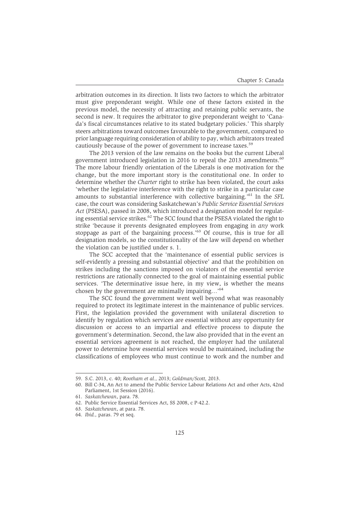arbitration outcomes in its direction. It lists two factors to which the arbitrator must give preponderant weight. While one of these factors existed in the previous model, the necessity of attracting and retaining public servants, the second is new. It requires the arbitrator to give preponderant weight to 'Canada's fiscal circumstances relative to its stated budgetary policies.' This sharply steers arbitrations toward outcomes favourable to the government, compared to prior language requiring consideration of ability to pay, which arbitrators treated cautiously because of the power of government to increase taxes.<sup>59</sup>

The 2013 version of the law remains on the books but the current Liberal government introduced legislation in 2016 to repeal the 2013 amendments. $60$ The more labour friendly orientation of the Liberals is one motivation for the change, but the more important story is the constitutional one. In order to determine whether the *Charter* right to strike has been violated, the court asks 'whether the legislative interference with the right to strike in a particular case amounts to substantial interference with collective bargaining.'61 In the *SFL* case, the court was considering Saskatchewan's *Public Service Essential Services Act* (PSESA), passed in 2008, which introduced a designation model for regulating essential service strikes.<sup>62</sup> The SCC found that the PSESA violated the right to strike 'because it prevents designated employees from engaging in *any* work stoppage as part of the bargaining process.<sup>'63</sup> Of course, this is true for all designation models, so the constitutionality of the law will depend on whether the violation can be justified under s. 1.

The SCC accepted that the 'maintenance of essential public services is self-evidently a pressing and substantial objective' and that the prohibition on strikes including the sanctions imposed on violators of the essential service restrictions are rationally connected to the goal of maintaining essential public services. 'The determinative issue here, in my view, is whether the means chosen by the government are minimally impairing…'<sup>64</sup>

The SCC found the government went well beyond what was reasonably required to protect its legitimate interest in the maintenance of public services. First, the legislation provided the government with unilateral discretion to identify by regulation which services are essential without any opportunity for discussion or access to an impartial and effective process to dispute the government's determination. Second, the law also provided that in the event an essential services agreement is not reached, the employer had the unilateral power to determine how essential services would be maintained, including the classifications of employees who must continue to work and the number and

<sup>59.</sup> S.C. 2013, c. 40; *Rootham et al.,* 2013; *Goldman/Scott,* 2013.

<sup>60.</sup> Bill C-34, An Act to amend the Public Service Labour Relations Act and other Acts, 42nd Parliament, 1st Session (2016).

<sup>61.</sup> *Saskatchewan*, para. 78.

<sup>62.</sup> Public Service Essential Services Act, SS 2008, c P-42.2.

<sup>63.</sup> *Saskatchewan*, at para. 78.

<sup>64.</sup> *Ibid.,* paras. 79 et seq.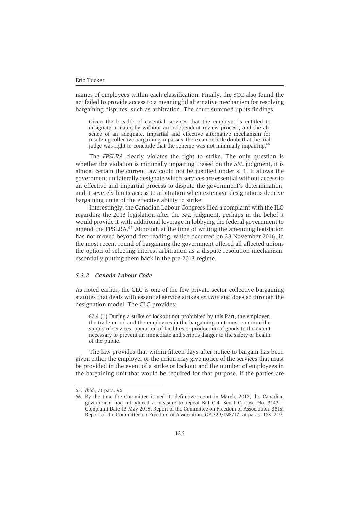names of employees within each classification. Finally, the SCC also found the act failed to provide access to a meaningful alternative mechanism for resolving bargaining disputes, such as arbitration. The court summed up its findings:

Given the breadth of essential services that the employer is entitled to designate unilaterally without an independent review process, and the absence of an adequate, impartial and effective alternative mechanism for resolving collective bargaining impasses, there can be little doubt that the trial judge was right to conclude that the scheme was not minimally impairing.<sup>65</sup>

The *FPSLRA* clearly violates the right to strike. The only question is whether the violation is minimally impairing. Based on the *SFL* judgment, it is almost certain the current law could not be justified under s. 1. It allows the government unilaterally designate which services are essential without access to an effective and impartial process to dispute the government's determination, and it severely limits access to arbitration when extensive designations deprive bargaining units of the effective ability to strike.

Interestingly, the Canadian Labour Congress filed a complaint with the ILO regarding the 2013 legislation after the *SFL* judgment, perhaps in the belief it would provide it with additional leverage in lobbying the federal government to amend the FPSLRA.<sup>66</sup> Although at the time of writing the amending legislation has not moved beyond first reading, which occurred on 28 November 2016, in the most recent round of bargaining the government offered all affected unions the option of selecting interest arbitration as a dispute resolution mechanism, essentially putting them back in the pre-2013 regime.

# *5.3.2 Canada Labour Code*

As noted earlier, the CLC is one of the few private sector collective bargaining statutes that deals with essential service strikes *ex ante* and does so through the designation model. The CLC provides:

87.4 (1) During a strike or lockout not prohibited by this Part, the employer, the trade union and the employees in the bargaining unit must continue the supply of services, operation of facilities or production of goods to the extent necessary to prevent an immediate and serious danger to the safety or health of the public.

The law provides that within fifteen days after notice to bargain has been given either the employer or the union may give notice of the services that must be provided in the event of a strike or lockout and the number of employees in the bargaining unit that would be required for that purpose. If the parties are

<sup>65.</sup> *Ibid.,* at para. 96.

<sup>66.</sup> By the time the Committee issued its definitive report in March, 2017, the Canadian government had introduced a measure to repeal Bill C-4. See ILO Case No. 3143 – Complaint Date 13-May-2015; Report of the Committee on Freedom of Association, 381st Report of the Committee on Freedom of Association, GB.329/INS/17, at paras. 173–219.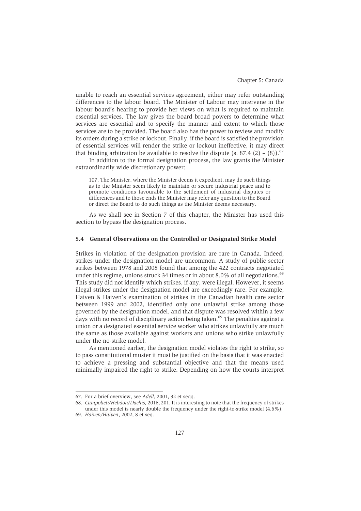unable to reach an essential services agreement, either may refer outstanding differences to the labour board. The Minister of Labour may intervene in the labour board's hearing to provide her views on what is required to maintain essential services. The law gives the board broad powers to determine what services are essential and to specify the manner and extent to which those services are to be provided. The board also has the power to review and modify its orders during a strike or lockout. Finally, if the board is satisfied the provision of essential services will render the strike or lockout ineffective, it may direct that binding arbitration be available to resolve the dispute  $(s. 87.4 (2) - (8))$ .<sup>67</sup>

In addition to the formal designation process, the law grants the Minister extraordinarily wide discretionary power:

107. The Minister, where the Minister deems it expedient, may do such things as to the Minister seem likely to maintain or secure industrial peace and to promote conditions favourable to the settlement of industrial disputes or differences and to those ends the Minister may refer any question to the Board or direct the Board to do such things as the Minister deems necessary.

As we shall see in Section 7 of this chapter, the Minister has used this section to bypass the designation process.

#### **5.4 General Observations on the Controlled or Designated Strike Model**

Strikes in violation of the designation provision are rare in Canada. Indeed, strikes under the designation model are uncommon. A study of public sector strikes between 1978 and 2008 found that among the 422 contracts negotiated under this regime, unions struck 34 times or in about 8.0% of all negotiations. $68$ This study did not identify which strikes, if any, were illegal. However, it seems illegal strikes under the designation model are exceedingly rare. For example, Haiven & Haiven's examination of strikes in the Canadian health care sector between 1999 and 2002, identified only one unlawful strike among those governed by the designation model, and that dispute was resolved within a few days with no record of disciplinary action being taken.<sup>69</sup> The penalties against a union or a designated essential service worker who strikes unlawfully are much the same as those available against workers and unions who strike unlawfully under the no-strike model.

As mentioned earlier, the designation model violates the right to strike, so to pass constitutional muster it must be justified on the basis that it was enacted to achieve a pressing and substantial objective and that the means used minimally impaired the right to strike. Depending on how the courts interpret

<sup>67.</sup> For a brief overview, see *Adell*, 2001, 32 et seqq.

<sup>68.</sup> *Campolieti/Hebdon/Dachis,* 2016, 201. It is interesting to note that the frequency of strikes under this model is nearly double the frequency under the right-to-strike model (4.6%).

<sup>69.</sup> *Haiven/Haiven*, 2002, 8 et seq.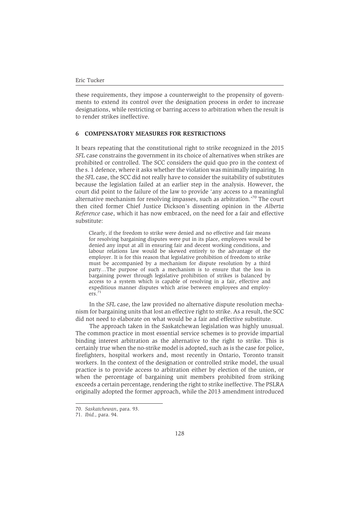these requirements, they impose a counterweight to the propensity of governments to extend its control over the designation process in order to increase designations, while restricting or barring access to arbitration when the result is to render strikes ineffective.

# **6 COMPENSATORY MEASURES FOR RESTRICTIONS**

It bears repeating that the constitutional right to strike recognized in the 2015 *SFL* case constrains the government in its choice of alternatives when strikes are prohibited or controlled. The SCC considers the quid quo pro in the context of the s. 1 defence, where it asks whether the violation was minimally impairing. In the *SFL* case, the SCC did not really have to consider the suitability of substitutes because the legislation failed at an earlier step in the analysis. However, the court did point to the failure of the law to provide 'any access to a meaningful alternative mechanism for resolving impasses, such as arbitration.'70 The court then cited former Chief Justice Dickson's dissenting opinion in the *Alberta Reference* case, which it has now embraced, on the need for a fair and effective substitute:

Clearly, if the freedom to strike were denied and no effective and fair means for resolving bargaining disputes were put in its place, employees would be denied any input at all in ensuring fair and decent working conditions, and labour relations law would be skewed entirely to the advantage of the employer. It is for this reason that legislative prohibition of freedom to strike must be accompanied by a mechanism for dispute resolution by a third party…The purpose of such a mechanism is to ensure that the loss in bargaining power through legislative prohibition of strikes is balanced by access to a system which is capable of resolving in a fair, effective and expeditious manner disputes which arise between employees and employers.<sup>7</sup>

In the *SFL* case, the law provided no alternative dispute resolution mechanism for bargaining units that lost an effective right to strike. As a result, the SCC did not need to elaborate on what would be a fair and effective substitute.

The approach taken in the Saskatchewan legislation was highly unusual. The common practice in most essential service schemes is to provide impartial binding interest arbitration as the alternative to the right to strike. This is certainly true when the no-strike model is adopted, such as is the case for police, firefighters, hospital workers and, most recently in Ontario, Toronto transit workers. In the context of the designation or controlled strike model, the usual practice is to provide access to arbitration either by election of the union, or when the percentage of bargaining unit members prohibited from striking exceeds a certain percentage, rendering the right to strike ineffective. The PSLRA originally adopted the former approach, while the 2013 amendment introduced

<sup>70.</sup> *Saskatchewan*, para. 93.

<sup>71.</sup> *Ibid.,* para. 94.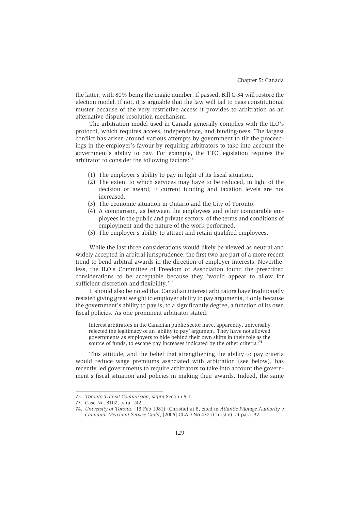the latter, with 80% being the magic number. If passed, Bill C-34 will restore the election model. If not, it is arguable that the law will fail to pass constitutional muster because of the very restrictive access it provides to arbitration as an alternative dispute resolution mechanism.

The arbitration model used in Canada generally complies with the ILO's protocol, which requires access, independence, and binding-ness. The largest conflict has arisen around various attempts by government to tilt the proceedings in the employer's favour by requiring arbitrators to take into account the government's ability to pay. For example, the TTC legislation requires the arbitrator to consider the following factors:<sup>72</sup>

- (1) The employer's ability to pay in light of its fiscal situation.
- (2) The extent to which services may have to be reduced, in light of the decision or award, if current funding and taxation levels are not increased.
- (3) The economic situation in Ontario and the City of Toronto.
- (4) A comparison, as between the employees and other comparable employees in the public and private sectors, of the terms and conditions of employment and the nature of the work performed.
- (5) The employer's ability to attract and retain qualified employees.

While the last three considerations would likely be viewed as neutral and widely accepted in arbitral jurisprudence, the first two are part of a more recent trend to bend arbitral awards in the direction of employer interests. Nevertheless, the ILO's Committee of Freedom of Association found the prescribed considerations to be acceptable because they 'would appear to allow for sufficient discretion and flexibility.<sup>73</sup>

It should also be noted that Canadian interest arbitrators have traditionally resisted giving great weight to employer ability to pay arguments, if only because the government's ability to pay is, to a significantly degree, a function of its own fiscal policies. As one prominent arbitrator stated:

Interest arbitrators in the Canadian public sector have, apparently, universally rejected the legitimacy of an 'ability to pay' argument. They have not allowed governments as employers to hide behind their own skirts in their role as the source of funds, to escape pay increases indicated by the other criteria.<sup>74</sup>

This attitude, and the belief that strengthening the ability to pay criteria would reduce wage premiums associated with arbitration (see below), has recently led governments to require arbitrators to take into account the government's fiscal situation and policies in making their awards. Indeed, the same

<sup>72.</sup> *Toronto Transit Commission, supra* Section 5.1.

<sup>73.</sup> Case No. 3107, para. 242.

<sup>74.</sup> *University of Toronto* (13 Feb 1981) (Christie) at 8, cited in *Atlantic Pilotage Authority v Canadian Merchant Service Guild*, [2006] CLAD No 457 (Christie), at para. 37.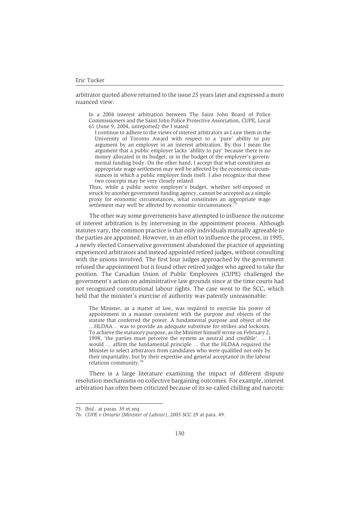arbitrator quoted above returned to the issue 25 years later and expressed a more nuanced view:

In a 2004 interest arbitration between The Saint John Board of Police Commissioners and the Saint John Police Protective Association, CUPE, Local 61 (June 9, 2004, unreported) the I stated:

I continue to adhere to the views of interest arbitrators as I saw them in the University of Toronto Award with respect to a 'pure' ability to pay argument by an employer in an interest arbitration. By this I mean the argument that a public employer lacks 'ability to pay' because there is no money allocated in its budget, or in the budget of the employer's governmental funding body. On the other hand, I accept that what constitutes an appropriate wage settlement may well be affected by the economic circumstances in which a public employer finds itself. I also recognize that these two concepts may be very closely related.

Thus, while a public sector employer's budget, whether self-imposed or struck by another government funding agency, cannot be accepted as a simple proxy for economic circumstances, what constitutes an appropriate wage settlement may well be affected by economic circumstances.

The other way some governments have attempted to influence the outcome of interest arbitration is by intervening in the appointment process. Although statutes vary, the common practice is that only individuals mutually agreeable to the parties are appointed. However, in an effort to influence the process, in 1995, a newly elected Conservative government abandoned the practice of appointing experienced arbitrators and instead appointed retired judges, without consulting with the unions involved. The first four judges approached by the government refused the appointment but it found other retired judges who agreed to take the position. The Canadian Union of Public Employees (CUPE) challenged the government's action on administrative law grounds since at the time courts had not recognized constitutional labour rights. The case went to the SCC, which held that the minister's exercise of authority was patently unreasonable:

The Minister, as a matter of law, was required to exercise his power of appointment in a manner consistent with the purpose and objects of the statute that conferred the power. A fundamental purpose and object of the …HLDAA… was to provide an adequate substitute for strikes and lockouts. To achieve the statutory purpose, as the Minister himself wrote on February 2, 1998, 'the parties must perceive the system as neutral and credible'. … I would … affirm the fundamental principle … that the HLDAA required the Minister to select arbitrators from candidates who were qualified not only by their impartiality, but by their expertise and general acceptance in the labour relations community.76

There is a large literature examining the impact of different dispute resolution mechanisms on collective bargaining outcomes. For example, interest arbitration has often been criticized because of its so-called chilling and narcotic

<sup>75.</sup> *Ibid.,* at paras. 39 et seq.

<sup>76.</sup> *CUPE v Ontario (Minister of Labour)*, 2003 SCC 29 at para. 49.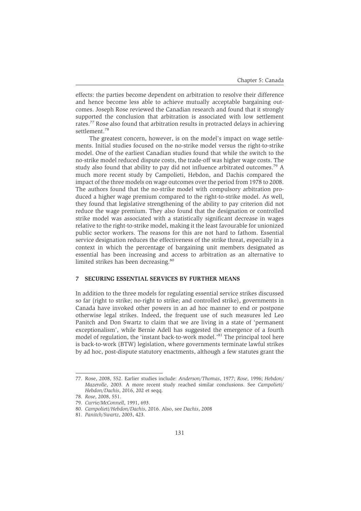effects: the parties become dependent on arbitration to resolve their difference and hence become less able to achieve mutually acceptable bargaining outcomes. Joseph Rose reviewed the Canadian research and found that it strongly supported the conclusion that arbitration is associated with low settlement rates.77 Rose also found that arbitration results in protracted delays in achieving settlement.<sup>78</sup>

The greatest concern, however, is on the model's impact on wage settlements. Initial studies focused on the no-strike model versus the right-to-strike model. One of the earliest Canadian studies found that while the switch to the no-strike model reduced dispute costs, the trade-off was higher wage costs. The study also found that ability to pay did not influence arbitrated outcomes.<sup>79</sup> A much more recent study by Campolieti, Hebdon, and Dachis compared the impact of the three models on wage outcomes over the period from 1978 to 2008. The authors found that the no-strike model with compulsory arbitration produced a higher wage premium compared to the right-to-strike model. As well, they found that legislative strengthening of the ability to pay criterion did not reduce the wage premium. They also found that the designation or controlled strike model was associated with a statistically significant decrease in wages relative to the right-to-strike model, making it the least favourable for unionized public sector workers. The reasons for this are not hard to fathom. Essential service designation reduces the effectiveness of the strike threat, especially in a context in which the percentage of bargaining unit members designated as essential has been increasing and access to arbitration as an alternative to limited strikes has been decreasing.<sup>80</sup>

# **7 SECURING ESSENTIAL SERVICES BY FURTHER MEANS**

In addition to the three models for regulating essential service strikes discussed so far (right to strike; no-right to strike; and controlled strike), governments in Canada have invoked other powers in an ad hoc manner to end or postpone otherwise legal strikes. Indeed, the frequent use of such measures led Leo Panitch and Don Swartz to claim that we are living in a state of 'permanent exceptionalism', while Bernie Adell has suggested the emergence of a fourth model of regulation, the 'instant back-to-work model.'<sup>81</sup> The principal tool here is back-to-work (BTW) legislation, where governments terminate lawful strikes by ad hoc, post-dispute statutory enactments, although a few statutes grant the

<sup>77.</sup> Rose, 2008, 552. Earlier studies include: *Anderson/Thomas*, 1977; *Rose*, 1996; *Hebdon/ Mazerolle*, 2003*.* A more recent study reached similar conclusions. See *Campolieti/ Hebdon/Dachis*, 2016, 202 et seqq.

<sup>78.</sup> *Rose*, 2008, 551.

<sup>79.</sup> *Currie/McConnell*, 1991, 693.

<sup>80.</sup> *Campolieti/Hebdon/Dachis*, 2016. Also, see *Dachis*, 2008

<sup>81.</sup> *Panitch/Swartz*, 2003, 423.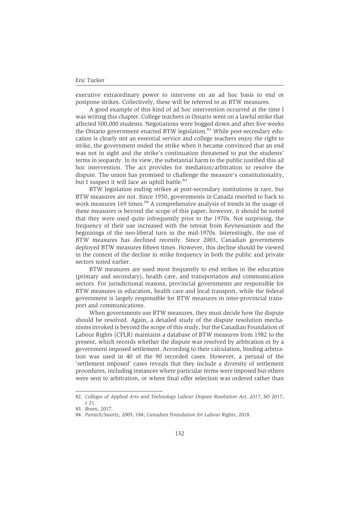executive extraordinary power to intervene on an ad hoc basis to end or postpone strikes. Collectively, these will be referred to as BTW measures.

A good example of this kind of ad hoc intervention occurred at the time I was writing this chapter. College teachers in Ontario went on a lawful strike that affected 500,000 students. Negotiations were bogged down and after five weeks the Ontario government enacted BTW legislation.<sup>82</sup> While post-secondary education is clearly not an essential service and college teachers enjoy the right to strike, the government ended the strike when it became convinced that an end was not in sight and the strike's continuation threatened to put the students' terms in jeopardy. In its view, the substantial harm to the public justified this ad hoc intervention. The act provides for mediation/arbitration to resolve the dispute. The union has promised to challenge the measure's constitutionality, but I suspect it will face an uphill battle.<sup>83</sup>

BTW legislation ending strikes at post-secondary institutions is rare, but BTW measures are not. Since 1950, governments in Canada resorted to back to work measures 169 times.<sup>84</sup> A comprehensive analysis of trends in the usage of these measures is beyond the scope of this paper, however, it should be noted that they were used quite infrequently prior to the 1970s. Not surprising, the frequency of their use increased with the retreat from Keynesianism and the beginnings of the neo-liberal turn in the mid-1970s. Interestingly, the use of BTW measures has declined recently. Since 2003, Canadian governments deployed BTW measures fifteen times. However, this decline should be viewed in the context of the decline in strike frequency in both the public and private sectors noted earlier.

BTW measures are used most frequently to end strikes in the education (primary and secondary), health care, and transportation and communication sectors. For jurisdictional reasons, provincial governments are responsible for BTW measures in education, health care and local transport, while the federal government is largely responsible for BTW measures in inter-provincial transport and communications.

When governments use BTW measures, they must decide how the dispute should be resolved. Again, a detailed study of the dispute resolution mechanisms invoked is beyond the scope of this study, but the Canadian Foundation of Labour Rights (CFLR) maintains a database of BTW measures from 1982 to the present, which records whether the dispute was resolved by arbitration or by a government imposed settlement. According to their calculation, binding arbitration was used in 40 of the 90 recorded cases. However, a perusal of the 'settlement imposed' cases reveals that they include a diversity of settlement procedures, including instances where particular terms were imposed but others were sent to arbitration, or where final offer selection was ordered rather than

<sup>82.</sup> *Colleges of Applied Arts and Technology Labour Dispute Resolution Act, 2017*, SO 2017, c 21.

<sup>83.</sup> *Breen*, 2017.

<sup>84.</sup> *Panitch/Swartz*, 2003, 184; *Canadian Foundation for Labour Rights*, 2018.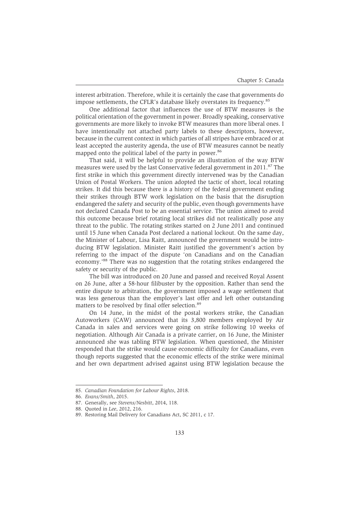interest arbitration. Therefore, while it is certainly the case that governments do impose settlements, the CFLR's database likely overstates its frequency.<sup>85</sup>

One additional factor that influences the use of BTW measures is the political orientation of the government in power. Broadly speaking, conservative governments are more likely to invoke BTW measures than more liberal ones. I have intentionally not attached party labels to these descriptors, however, because in the current context in which parties of all stripes have embraced or at least accepted the austerity agenda, the use of BTW measures cannot be neatly mapped onto the political label of the party in power.<sup>86</sup>

That said, it will be helpful to provide an illustration of the way BTW measures were used by the last Conservative federal government in 2011.<sup>87</sup> The first strike in which this government directly intervened was by the Canadian Union of Postal Workers. The union adopted the tactic of short, local rotating strikes. It did this because there is a history of the federal government ending their strikes through BTW work legislation on the basis that the disruption endangered the safety and security of the public, even though governments have not declared Canada Post to be an essential service. The union aimed to avoid this outcome because brief rotating local strikes did not realistically pose any threat to the public. The rotating strikes started on 2 June 2011 and continued until 15 June when Canada Post declared a national lockout. On the same day, the Minister of Labour, Lisa Raitt, announced the government would be introducing BTW legislation. Minister Raitt justified the government's action by referring to the impact of the dispute 'on Canadians and on the Canadian economy.'88 There was no suggestion that the rotating strikes endangered the safety or security of the public.

The bill was introduced on 20 June and passed and received Royal Assent on 26 June, after a 58-hour filibuster by the opposition. Rather than send the entire dispute to arbitration, the government imposed a wage settlement that was less generous than the employer's last offer and left other outstanding matters to be resolved by final offer selection.<sup>89</sup>

On 14 June, in the midst of the postal workers strike, the Canadian Autoworkers (CAW) announced that its 3,800 members employed by Air Canada in sales and services were going on strike following 10 weeks of negotiation. Although Air Canada is a private carrier, on 16 June, the Minister announced she was tabling BTW legislation. When questioned, the Minister responded that the strike would cause economic difficulty for Canadians, even though reports suggested that the economic effects of the strike were minimal and her own department advised against using BTW legislation because the

<sup>85.</sup> *Canadian Foundation for Labour Rights*, 2018.

<sup>86.</sup> *Evans/Smith*, 2015.

<sup>87.</sup> Generally, see *Stevens/Nesbitt*, 2014, 118.

<sup>88.</sup> Quoted in *Lee*, 2012, 216.

<sup>89.</sup> Restoring Mail Delivery for Canadians Act, SC 2011, c 17.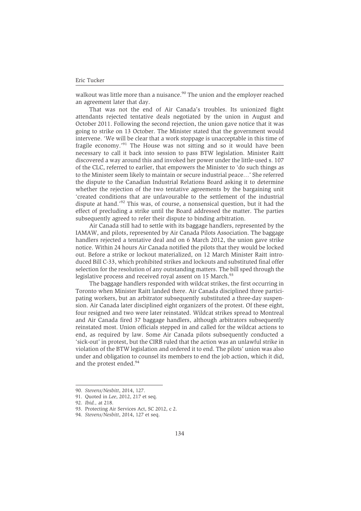walkout was little more than a nuisance.<sup>90</sup> The union and the employer reached an agreement later that day.

That was not the end of Air Canada's troubles. Its unionized flight attendants rejected tentative deals negotiated by the union in August and October 2011. Following the second rejection, the union gave notice that it was going to strike on 13 October. The Minister stated that the government would intervene. 'We will be clear that a work stoppage is unacceptable in this time of fragile economy.'91 The House was not sitting and so it would have been necessary to call it back into session to pass BTW legislation. Minister Raitt discovered a way around this and invoked her power under the little-used s. 107 of the CLC, referred to earlier, that empowers the Minister to 'do such things as to the Minister seem likely to maintain or secure industrial peace…' She referred the dispute to the Canadian Industrial Relations Board asking it to determine whether the rejection of the two tentative agreements by the bargaining unit 'created conditions that are unfavourable to the settlement of the industrial dispute at hand.'92 This was, of course, a nonsensical question, but it had the effect of precluding a strike until the Board addressed the matter. The parties subsequently agreed to refer their dispute to binding arbitration.

Air Canada still had to settle with its baggage handlers, represented by the IAMAW, and pilots, represented by Air Canada Pilots Association. The baggage handlers rejected a tentative deal and on 6 March 2012, the union gave strike notice. Within 24 hours Air Canada notified the pilots that they would be locked out. Before a strike or lockout materialized, on 12 March Minister Raitt introduced Bill C-33, which prohibited strikes and lockouts and substituted final offer selection for the resolution of any outstanding matters. The bill sped through the legislative process and received royal assent on 15 March.<sup>93</sup>

The baggage handlers responded with wildcat strikes, the first occurring in Toronto when Minister Raitt landed there. Air Canada disciplined three participating workers, but an arbitrator subsequently substituted a three-day suspension. Air Canada later disciplined eight organizers of the protest. Of these eight, four resigned and two were later reinstated. Wildcat strikes spread to Montreal and Air Canada fired 37 baggage handlers, although arbitrators subsequently reinstated most. Union officials stepped in and called for the wildcat actions to end, as required by law. Some Air Canada pilots subsequently conducted a 'sick-out' in protest, but the CIRB ruled that the action was an unlawful strike in violation of the BTW legislation and ordered it to end. The pilots' union was also under and obligation to counsel its members to end the job action, which it did, and the protest ended.<sup>94</sup>

<sup>90.</sup> *Stevens/Nesbitt*, 2014, 127.

<sup>91.</sup> Quoted in *Lee*, 2012, 217 et seq.

<sup>92.</sup> *Ibid.,* at 218.

<sup>93.</sup> Protecting Air Services Act, SC 2012, c 2.

<sup>94.</sup> *Stevens/Nesbitt*, 2014, 127 et seq.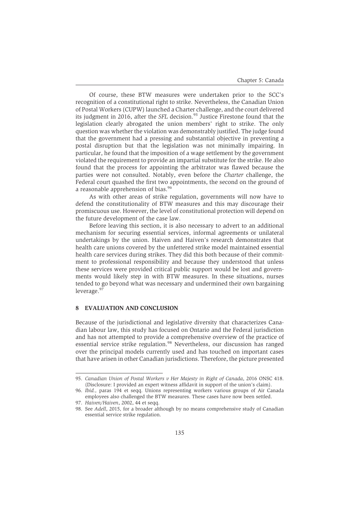Of course, these BTW measures were undertaken prior to the SCC's recognition of a constitutional right to strike. Nevertheless, the Canadian Union of Postal Workers (CUPW) launched a Charter challenge, and the court delivered its judgment in 2016, after the *SFL* decision.<sup>95</sup> Justice Firestone found that the legislation clearly abrogated the union members' right to strike. The only question was whether the violation was demonstrably justified. The judge found that the government had a pressing and substantial objective in preventing a postal disruption but that the legislation was not minimally impairing. In particular, he found that the imposition of a wage settlement by the government violated the requirement to provide an impartial substitute for the strike. He also found that the process for appointing the arbitrator was flawed because the parties were not consulted. Notably, even before the *Charter* challenge, the Federal court quashed the first two appointments, the second on the ground of a reasonable apprehension of bias.<sup>96</sup>

As with other areas of strike regulation, governments will now have to defend the constitutionality of BTW measures and this may discourage their promiscuous use. However, the level of constitutional protection will depend on the future development of the case law.

Before leaving this section, it is also necessary to advert to an additional mechanism for securing essential services, informal agreements or unilateral undertakings by the union. Haiven and Haiven's research demonstrates that health care unions covered by the unfettered strike model maintained essential health care services during strikes. They did this both because of their commitment to professional responsibility and because they understood that unless these services were provided critical public support would be lost and governments would likely step in with BTW measures. In these situations, nurses tended to go beyond what was necessary and undermined their own bargaining leverage.<sup>97</sup>

# **8 EVALUATION AND CONCLUSION**

Because of the jurisdictional and legislative diversity that characterizes Canadian labour law, this study has focused on Ontario and the Federal jurisdiction and has not attempted to provide a comprehensive overview of the practice of essential service strike regulation.<sup>98</sup> Nevertheless, our discussion has ranged over the principal models currently used and has touched on important cases that have arisen in other Canadian jurisdictions. Therefore, the picture presented

<sup>95.</sup> *Canadian Union of Postal Workers v Her Majesty in Right of Canada*, 2016 ONSC 418. (Disclosure: I provided an expert witness affidavit in support of the union's claim).

<sup>96.</sup> *Ibid.,* paras 194 et seqq. Unions representing workers various groups of Air Canada employees also challenged the BTW measures. These cases have now been settled.

<sup>97.</sup> *Haiven/Haiven*, 2002, 44 et seqq.

<sup>98.</sup> See *Adell*, 2015*,* for a broader although by no means comprehensive study of Canadian essential service strike regulation.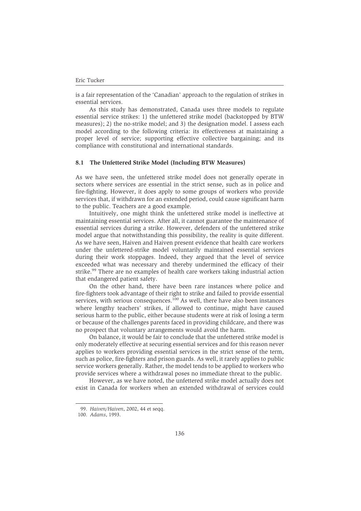is a fair representation of the 'Canadian' approach to the regulation of strikes in essential services.

As this study has demonstrated, Canada uses three models to regulate essential service strikes: 1) the unfettered strike model (backstopped by BTW measures); 2) the no-strike model; and 3) the designation model. I assess each model according to the following criteria: its effectiveness at maintaining a proper level of service; supporting effective collective bargaining; and its compliance with constitutional and international standards.

# **8.1 The Unfettered Strike Model (Including BTW Measures)**

As we have seen, the unfettered strike model does not generally operate in sectors where services are essential in the strict sense, such as in police and fire-fighting. However, it does apply to some groups of workers who provide services that, if withdrawn for an extended period, could cause significant harm to the public. Teachers are a good example.

Intuitively, one might think the unfettered strike model is ineffective at maintaining essential services. After all, it cannot guarantee the maintenance of essential services during a strike. However, defenders of the unfettered strike model argue that notwithstanding this possibility, the reality is quite different. As we have seen, Haiven and Haiven present evidence that health care workers under the unfettered-strike model voluntarily maintained essential services during their work stoppages. Indeed, they argued that the level of service exceeded what was necessary and thereby undermined the efficacy of their strike.<sup>99</sup> There are no examples of health care workers taking industrial action that endangered patient safety.

On the other hand, there have been rare instances where police and fire-fighters took advantage of their right to strike and failed to provide essential services, with serious consequences.<sup>100</sup> As well, there have also been instances where lengthy teachers' strikes, if allowed to continue, might have caused serious harm to the public, either because students were at risk of losing a term or because of the challenges parents faced in providing childcare, and there was no prospect that voluntary arrangements would avoid the harm.

On balance, it would be fair to conclude that the unfettered strike model is only moderately effective at securing essential services and for this reason never applies to workers providing essential services in the strict sense of the term, such as police, fire-fighters and prison guards. As well, it rarely applies to public service workers generally. Rather, the model tends to be applied to workers who provide services where a withdrawal poses no immediate threat to the public.

However, as we have noted, the unfettered strike model actually does not exist in Canada for workers when an extended withdrawal of services could

<sup>99.</sup> *Haiven/Haiven*, 2002, 44 et seqq.

<sup>100.</sup> *Adams*, 1993.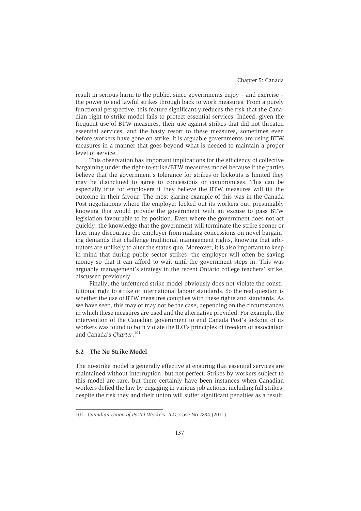result in serious harm to the public, since governments enjoy – and exercise – the power to end lawful strikes through back to work measures. From a purely functional perspective, this feature significantly reduces the risk that the Canadian right to strike model fails to protect essential services. Indeed, given the frequent use of BTW measures, their use against strikes that did not threaten essential services, and the hasty resort to these measures, sometimes even before workers have gone on strike, it is arguable governments are using BTW measures in a manner that goes beyond what is needed to maintain a proper level of service.

This observation has important implications for the efficiency of collective bargaining under the right-to-strike/BTW measures model because if the parties believe that the government's tolerance for strikes or lockouts is limited they may be disinclined to agree to concessions or compromises. This can be especially true for employers if they believe the BTW measures will tilt the outcome in their favour. The most glaring example of this was in the Canada Post negotiations where the employer locked out its workers out, presumably knowing this would provide the government with an excuse to pass BTW legislation favourable to its position. Even where the government does not act quickly, the knowledge that the government will terminate the strike sooner or later may discourage the employer from making concessions on novel bargaining demands that challenge traditional management rights, knowing that arbitrators are unlikely to alter the status quo. Moreover, it is also important to keep in mind that during public sector strikes, the employer will often be saving money so that it can afford to wait until the government steps in. This was arguably management's strategy in the recent Ontario college teachers' strike, discussed previously.

Finally, the unfettered strike model obviously does not violate the constitutional right to strike or international labour standards. So the real question is whether the use of BTW measures complies with these rights and standards. As we have seen, this may or may not be the case, depending on the circumstances in which these measures are used and the alternative provided. For example, the intervention of the Canadian government to end Canada Post's lockout of its workers was found to both violate the ILO's principles of freedom of association and Canada's *Charter*. 101

#### **8.2 The No-Strike Model**

The no-strike model is generally effective at ensuring that essential services are maintained without interruption, but not perfect. Strikes by workers subject to this model are rare, but there certainly have been instances when Canadian workers defied the law by engaging in various job actions, including full strikes, despite the risk they and their union will suffer significant penalties as a result.

<sup>101.</sup> *Canadian Union of Postal Workers*; *ILO*, Case No 2894 (2011).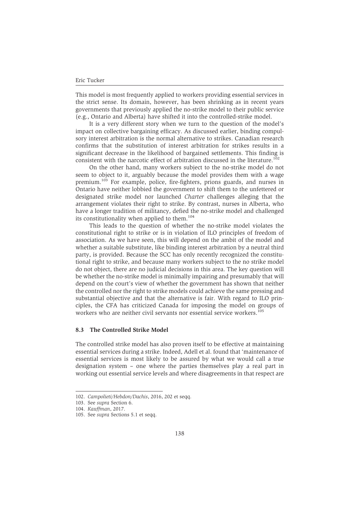This model is most frequently applied to workers providing essential services in the strict sense. Its domain, however, has been shrinking as in recent years governments that previously applied the no-strike model to their public service (e.g., Ontario and Alberta) have shifted it into the controlled-strike model.

It is a very different story when we turn to the question of the model's impact on collective bargaining efficacy. As discussed earlier, binding compulsory interest arbitration is the normal alternative to strikes. Canadian research confirms that the substitution of interest arbitration for strikes results in a significant decrease in the likelihood of bargained settlements. This finding is consistent with the narcotic effect of arbitration discussed in the literature.<sup>102</sup>

On the other hand, many workers subject to the no-strike model do not seem to object to it, arguably because the model provides them with a wage premium.<sup>103</sup> For example, police, fire-fighters, prions guards, and nurses in Ontario have neither lobbied the government to shift them to the unfettered or designated strike model nor launched *Charter* challenges alleging that the arrangement violates their right to strike. By contrast, nurses in Alberta, who have a longer tradition of militancy, defied the no-strike model and challenged its constitutionality when applied to them. $104$ 

This leads to the question of whether the no-strike model violates the constitutional right to strike or is in violation of ILO principles of freedom of association. As we have seen, this will depend on the ambit of the model and whether a suitable substitute, like binding interest arbitration by a neutral third party, is provided. Because the SCC has only recently recognized the constitutional right to strike, and because many workers subject to the no strike model do not object, there are no judicial decisions in this area. The key question will be whether the no-strike model is minimally impairing and presumably that will depend on the court's view of whether the government has shown that neither the controlled nor the right to strike models could achieve the same pressing and substantial objective and that the alternative is fair. With regard to ILO principles, the CFA has criticized Canada for imposing the model on groups of workers who are neither civil servants nor essential service workers.<sup>105</sup>

# **8.3 The Controlled Strike Model**

The controlled strike model has also proven itself to be effective at maintaining essential services during a strike. Indeed, Adell et al. found that 'maintenance of essential services is most likely to be assured by what we would call a true designation system – one where the parties themselves play a real part in working out essential service levels and where disagreements in that respect are

<sup>102.</sup> *Campolieti/Hebdon/Dachis*, 2016, 202 et seqq.

<sup>103.</sup> See *supra* Section 6.

<sup>104.</sup> *Kauffman*, 2017.

<sup>105.</sup> See *supra* Sections 5.1 et seqq.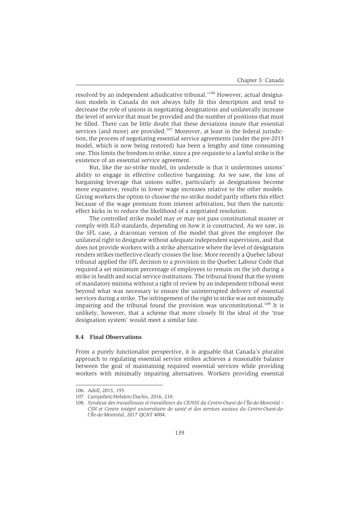resolved by an independent adjudicative tribunal.'106 However, actual designation models in Canada do not always fully fit this description and tend to decrease the role of unions in negotiating designations and unilaterally increase the level of service that must be provided and the number of positions that must be filled. There can be little doubt that these deviations insure that essential services (and more) are provided.<sup>107</sup> Moreover, at least in the federal jurisdiction, the process of negotiating essential service agreements (under the pre-2013 model, which is now being restored) has been a lengthy and time consuming one. This limits the freedom to strike, since a pre-requisite to a lawful strike is the existence of an essential service agreement.

But, like the no-strike model, its underside is that it undermines unions' ability to engage in effective collective bargaining. As we saw, the loss of bargaining leverage that unions suffer, particularly as designations become more expansive, results in lower wage increases relative to the other models. Giving workers the option to choose the no-strike model partly offsets this effect because of the wage premium from interest arbitration, but then the narcotic effect kicks in to reduce the likelihood of a negotiated resolution.

The controlled strike model may or may not pass constitutional muster or comply with ILO standards, depending on how it is constructed. As we saw, in the *SFL* case, a draconian version of the model that gives the employer the unilateral right to designate without adequate independent supervision, and that does not provide workers with a strike alternative where the level of designation renders strikes ineffective clearly crosses the line. More recently a Quebec labour tribunal applied the *SFL* decision to a provision in the Quebec Labour Code that required a set minimum percentage of employees to remain on the job during a strike in health and social service institutions. The tribunal found that the system of mandatory minima without a right of review by an independent tribunal went beyond what was necessary to ensure the uninterrupted delivery of essential services during a strike. The infringement of the right to strike was not minimally impairing and the tribunal found the provision was unconstitutional.<sup>108</sup> It is unlikely, however, that a scheme that more closely fit the ideal of the 'true designation system' would meet a similar fate.

#### **8.4 Final Observations**

From a purely functionalist perspective, it is arguable that Canada's pluralist approach to regulating essential service strikes achieves a reasonable balance between the goal of maintaining required essential services while providing workers with minimally impairing alternatives. Workers providing essential

<sup>106.</sup> *Adell*, 2015, 195.

<sup>107.</sup> *Campolieti/Hebdon/Dachis*, 2016, 210.

<sup>108.</sup> *Syndicat des travailleuses et travailleurs du CIUSSS du Centre-Ouest-de-l'Île-de-Montréal – CSN et Centre intégré universitaire de santé et des services sociaux du Centre-Ouest-del'Île-de-Montréal*, 2017 QCAT 4004.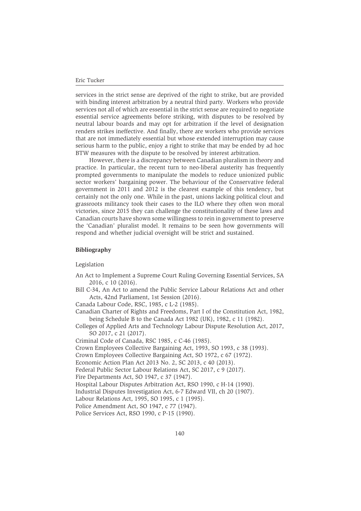services in the strict sense are deprived of the right to strike, but are provided with binding interest arbitration by a neutral third party. Workers who provide services not all of which are essential in the strict sense are required to negotiate essential service agreements before striking, with disputes to be resolved by neutral labour boards and may opt for arbitration if the level of designation renders strikes ineffective. And finally, there are workers who provide services that are not immediately essential but whose extended interruption may cause serious harm to the public, enjoy a right to strike that may be ended by ad hoc BTW measures with the dispute to be resolved by interest arbitration.

However, there is a discrepancy between Canadian pluralism in theory and practice. In particular, the recent turn to neo-liberal austerity has frequently prompted governments to manipulate the models to reduce unionized public sector workers' bargaining power. The behaviour of the Conservative federal government in 2011 and 2012 is the clearest example of this tendency, but certainly not the only one. While in the past, unions lacking political clout and grassroots militancy took their cases to the ILO where they often won moral victories, since 2015 they can challenge the constitutionality of these laws and Canadian courts have shown some willingness to rein in government to preserve the 'Canadian' pluralist model. It remains to be seen how governments will respond and whether judicial oversight will be strict and sustained.

#### **Bibliography**

Legislation

- An Act to Implement a Supreme Court Ruling Governing Essential Services, SA 2016, c 10 (2016).
- Bill C-34, An Act to amend the Public Service Labour Relations Act and other Acts, 42nd Parliament, 1st Session (2016).

Canada Labour Code, RSC, 1985, c L-2 (1985).

- Canadian Charter of Rights and Freedoms, Part I of the Constitution Act, 1982, being Schedule B to the Canada Act 1982 (UK), 1982, c 11 (1982).
- Colleges of Applied Arts and Technology Labour Dispute Resolution Act, 2017, SO 2017, c 21 (2017).

Criminal Code of Canada, RSC 1985, c C-46 (1985).

Crown Employees Collective Bargaining Act, 1993, SO 1993, c 38 (1993).

- Crown Employees Collective Bargaining Act, SO 1972, c 67 (1972).
- Economic Action Plan Act 2013 No. 2, SC 2013, c 40 (2013).

Federal Public Sector Labour Relations Act, SC 2017, c 9 (2017).

```
Fire Departments Act, SO 1947, c 37 (1947).
```
Hospital Labour Disputes Arbitration Act, RSO 1990, c H-14 (1990).

Industrial Disputes Investigation Act, 6-7 Edward VII, ch 20 (1907).

Labour Relations Act, 1995, SO 1995, c 1 (1995).

Police Amendment Act, SO 1947, c 77 (1947).

Police Services Act, RSO 1990, c P-15 (1990).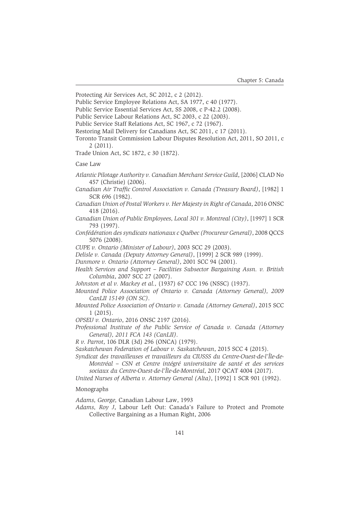Protecting Air Services Act, SC 2012, c 2 (2012).

Public Service Employee Relations Act, SA 1977, c 40 (1977).

Public Service Essential Services Act, SS 2008, c P-42.2 (2008).

Public Service Labour Relations Act, SC 2003, c 22 (2003).

Public Service Staff Relations Act, SC 1967, c 72 (1967).

Restoring Mail Delivery for Canadians Act, SC 2011, c 17 (2011).

Toronto Transit Commission Labour Disputes Resolution Act, 2011, SO 2011, c 2 (2011).

Trade Union Act, SC 1872, c 30 (1872).

Case Law

*Atlantic Pilotage Authority v. Canadian Merchant Service Guild*, [2006] CLAD No 457 (Christie) (2006).

*Canadian Air Traffic Control Association v. Canada (Treasury Board)*, [1982] 1 SCR 696 (1982).

- *Canadian Union of Postal Workers v. Her Majesty in Right of Canada*, 2016 ONSC 418 (2016).
- *Canadian Union of Public Employees, Local 301 v. Montreal (City)*, [1997] 1 SCR 793 (1997).
- *Confédération des syndicats nationaux c Québec (Procureur General)*, 2008 QCCS 5076 (2008).

*CUPE v. Ontario (Minister of Labour)*, 2003 SCC 29 (2003).

*Delisle v. Canada (Deputy Attorney General)*, [1999] 2 SCR 989 (1999).

*Dunmore v. Ontario (Attorney General)*, 2001 SCC 94 (2001).

*Health Services and Support – Facilities Subsector Bargaining Assn. v. British Columbia*, 2007 SCC 27 (2007).

*Johnston et al v. Mackey et al.,* (1937) 67 CCC 196 (NSSC) (1937).

- *Mounted Police Association of Ontario v. Canada (Attorney General), 2009 CanLII 15149 (ON SC)*.
- *Mounted Police Association of Ontario v. Canada (Attorney General)*, 2015 SCC 1 (2015).

*OPSEU v. Ontario*, 2016 ONSC 2197 (2016).

*Professional Institute of the Public Service of Canada v. Canada (Attorney General), 2011 FCA 143 (CanLII)*.

*R v. Parrot*, 106 DLR (3d) 296 (ONCA) (1979).

- *Saskatchewan Federation of Labour v. Saskatchewan*, 2015 SCC 4 (2015).
- *Syndicat des travailleuses et travailleurs du CIUSSS du Centre-Ouest-de-l'Île-de-Montréal – CSN et Centre intégré universitaire de santé et des services sociaux du Centre-Ouest-de-l'Île-de-Montréal*, 2017 QCAT 4004 (2017).
- *United Nurses of Alberta v. Attorney General (Alta)*, [1992] 1 SCR 901 (1992).

#### Monographs

*Adams, George,* Canadian Labour Law, 1993

*Adams, Roy J*, Labour Left Out: Canada's Failure to Protect and Promote Collective Bargaining as a Human Right, 2006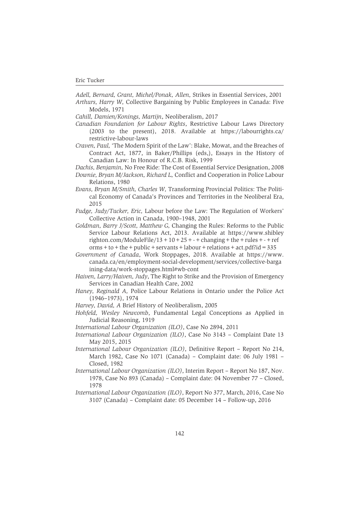*Adell, Bernard, Grant, Michel/Ponak, Allen,* Strikes in Essential Services, 2001 *Arthurs, Harry W,* Collective Bargaining by Public Employees in Canada: Five Models, 1971

*Cahill, Damien/Konings, Martijn*, Neoliberalism, 2017

- *Canadian Foundation for Labour Rights*, Restrictive Labour Laws Directory (2003 to the present), 2018. Available at https://labourrights.ca/ restrictive-labour-laws
- *Craven, Paul,* 'The Modern Spirit of the Law': Blake, Mowat, and the Breaches of Contract Act, 1877, in Baker/Phillips (eds,), Essays in the History of Canadian Law: In Honour of R.C.B. Risk, 1999
- *Dachis, Benjamin,* No Free Ride: The Cost of Essential Service Designation, 2008
- *Downie, Bryan M/Jackson, Richard L,* Conflict and Cooperation in Police Labour Relations, 1980
- *Evans, Bryan M/Smith, Charles W,* Transforming Provincial Politics: The Political Economy of Canada's Provinces and Territories in the Neoliberal Era, 2015
- *Fudge, Judy/Tucker, Eric,* Labour before the Law: The Regulation of Workers' Collective Action in Canada, 1900–1948, 2001
- *Goldman, Barry J/Scott, Matthew G,* Changing the Rules: Reforms to the Public Service Labour Relations Act, 2013. Available at https://www.shibley righton.com/ModuleFile/13 +  $10+25$  + - + changing + the + rules + - + ref  $orms + to + the + public + servants + labour + relations + act.pdf$ ?id = 335
- *Government of Canada*, Work Stoppages, 2018. Available at https://www. canada.ca/en/employment-social-development/services/collective-barga ining-data/work-stoppages.html#wb-cont
- *Haiven, Larry/Haiven, Judy*, The Right to Strike and the Provision of Emergency Services in Canadian Health Care, 2002
- *Haney, Reginald A,* Police Labour Relations in Ontario under the Police Act (1946–1973), 1974
- *Harvey, David, A* Brief History of Neoliberalism, 2005
- *Hohfeld, Wesley Newcomb*, Fundamental Legal Conceptions as Applied in Judicial Reasoning, 1919
- *International Labour Organization (ILO)*, Case No 2894, 2011
- *International Labour Organization (ILO)*, Case No 3143 Complaint Date 13 May 2015, 2015
- *International Labour Organization (ILO)*, Definitive Report Report No 214, March 1982, Case No 1071 (Canada) – Complaint date: 06 July 1981 – Closed, 1982
- *International Labour Organization (ILO)*, Interim Report Report No 187, Nov. 1978, Case No 893 (Canada) – Complaint date: 04 November 77 – Closed, 1978
- *International Labour Organization (ILO)*, Report No 377, March, 2016, Case No 3107 (Canada) – Complaint date: 05 December 14 – Follow-up, 2016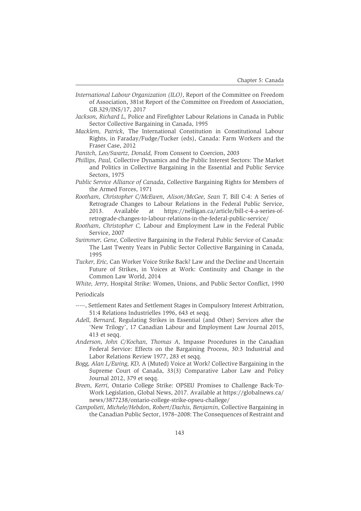- *International Labour Organization (ILO)*, Report of the Committee on Freedom of Association, 381st Report of the Committee on Freedom of Association, GB.329/INS/17, 2017
- *Jackson, Richard L,* Police and Firefighter Labour Relations in Canada in Public Sector Collective Bargaining in Canada, 1995
- *Macklem, Patrick,* The International Constitution in Constitutional Labour Rights, in Faraday/Fudge/Tucker (eds), Canada: Farm Workers and the Fraser Case, 2012
- *Panitch, Leo/Swartz, Donald,* From Consent to Coercion, 2003
- *Phillips, Paul,* Collective Dynamics and the Public Interest Sectors: The Market and Politics in Collective Bargaining in the Essential and Public Service Sectors, 1975
- *Public Service Alliance of Canada*, Collective Bargaining Rights for Members of the Armed Forces, 1971
- *Rootham, Christopher C/McEwen, Alison*/*McGee, Sean T,* Bill C-4: A Series of Retrograde Changes to Labour Relations in the Federal Public Service, 2013. Available at https://nelligan.ca/article/bill-c-4-a-series-ofretrograde-changes-to-labour-relations-in-the-federal-public-service/
- *Rootham, Christopher C,* Labour and Employment Law in the Federal Public Service, 2007
- *Swimmer, Gene,* Collective Bargaining in the Federal Public Service of Canada: The Last Twenty Years in Public Sector Collective Bargaining in Canada, 1995
- *Tucker, Eric,* Can Worker Voice Strike Back? Law and the Decline and Uncertain Future of Strikes, in Voices at Work: Continuity and Change in the Common Law World, 2014
- *White, Jerry,* Hospital Strike: Women, Unions, and Public Sector Conflict, 1990

#### Periodicals

- -----, Settlement Rates and Settlement Stages in Compulsory Interest Arbitration, 51:4 Relations Industrielles 1996, 643 et seqq.
- *Adell, Bernard,* Regulating Strikes in Essential (and Other) Services after the 'New Trilogy', 17 Canadian Labour and Employment Law Journal 2015, 413 et seqq.
- *Anderson, John C/Kochan, Thomas A,* Impasse Procedures in the Canadian Federal Service: Effects on the Bargaining Process, 30:3 Industrial and Labor Relations Review 1977, 283 et seqq.
- *Bogg, Alan L/Ewing, KD,* A (Muted) Voice at Work? Collective Bargaining in the Supreme Court of Canada, 33(3) Comparative Labor Law and Policy Journal 2012, 379 et seqq.
- *Breen, Kerri,* Ontario College Strike: OPSEU Promises to Challenge Back-To-Work Legislation, Global News, 2017. Available at https://globalnews.ca/ news/3877238/ontario-college-strike-opseu-challege/
- *Campolieti, Michele/Hebdon, Robert*/*Dachis, Benjamin,* Collective Bargaining in the Canadian Public Sector, 1978–2008: The Consequences of Restraint and